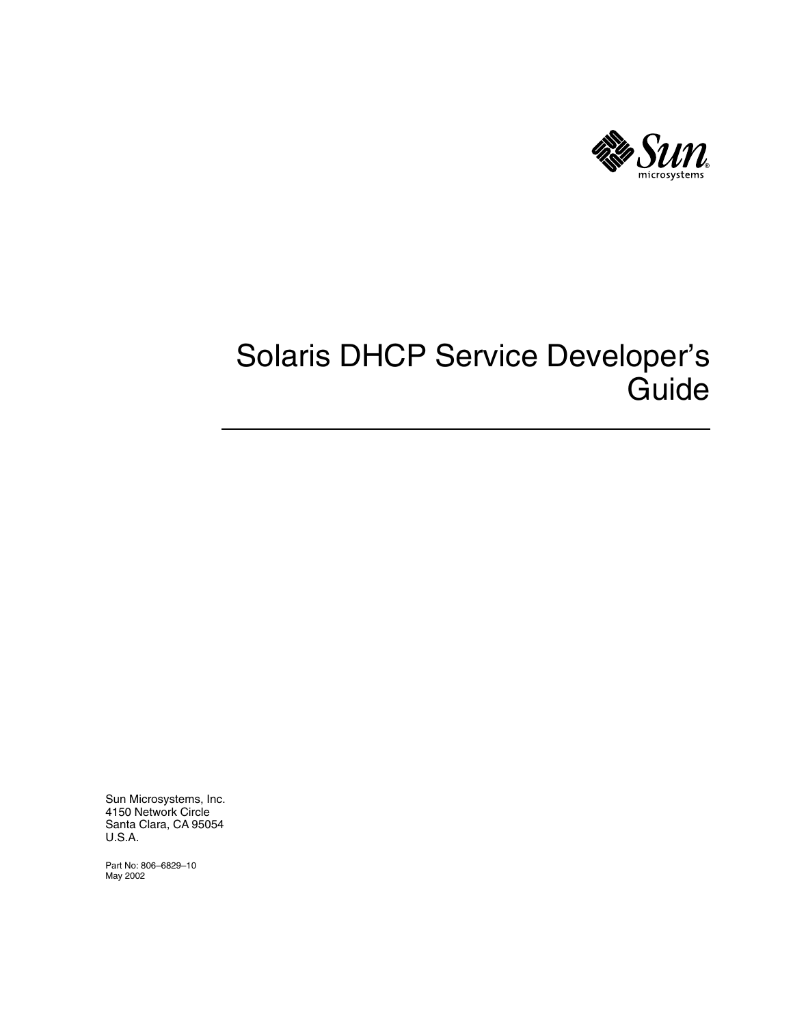

# Solaris DHCP Service Developer's Guide

Sun Microsystems, Inc. 4150 Network Circle Santa Clara, CA 95054 U.S.A.

Part No: 806–6829–10 May 2002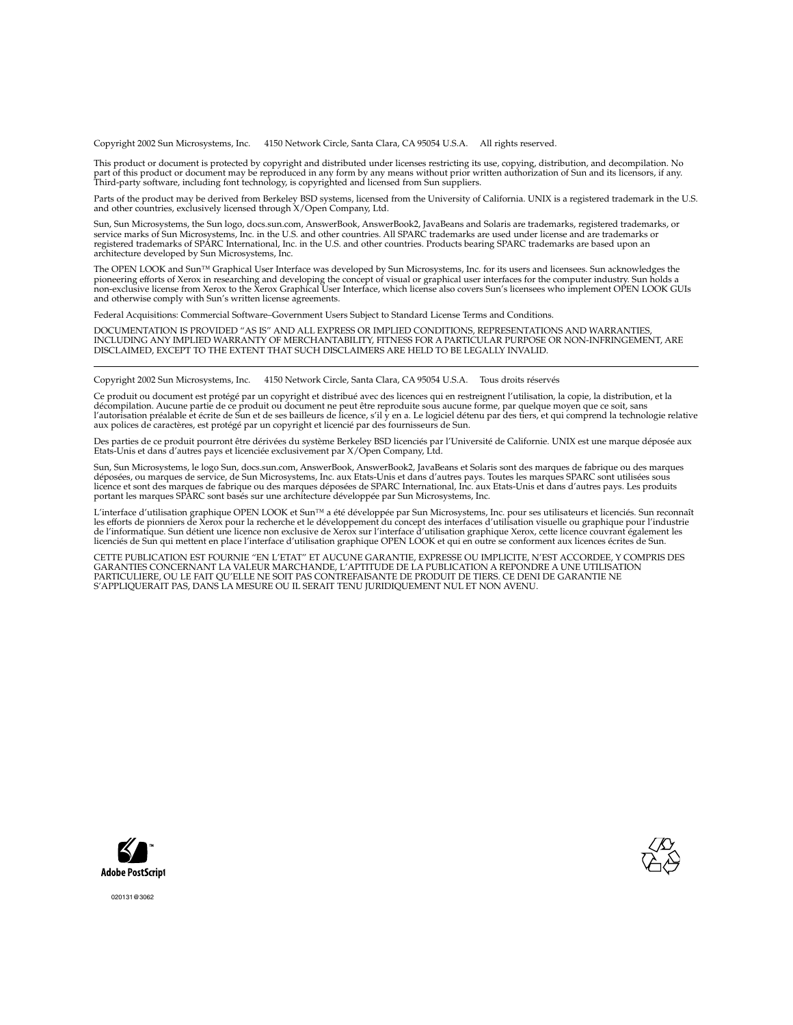Copyright 2002 Sun Microsystems, Inc. 4150 Network Circle, Santa Clara, CA 95054 U.S.A. All rights reserved.

This product or document is protected by copyright and distributed under licenses restricting its use, copying, distribution, and decompilation. No part of this product or document may be reproduced in any form by any means without prior written authorization of Sun and its licensors, if any.<br>Third-party software, including font technology, is copyrighted and licensed

Parts of the product may be derived from Berkeley BSD systems, licensed from the University of California. UNIX is a registered trademark in the U.S. and other countries, exclusively licensed through X/Open Company, Ltd.

Sun, Sun Microsystems, the Sun logo, docs.sun.com, AnswerBook, AnswerBook2, JavaBeans and Solaris are trademarks, registered trademarks, or<br>service marks of Sun Microsystems, Inc. in the U.S. and other countries. All SPARC architecture developed by Sun Microsystems, Inc.

The OPEN LOOK and Sun™ Graphical User Interface was developed by Sun Microsystems, Inc. for its users and licensees. Sun acknowledges the pioneering efforts of Xerox in researching and developing the concept of visual or graphical user interfaces for the computer industry. Sun holds a<br>non-exclusive license from Xerox to the Xerox Graphical User Interface, wh and otherwise comply with Sun's written license agreements.

Federal Acquisitions: Commercial Software–Government Users Subject to Standard License Terms and Conditions.

DOCUMENTATION IS PROVIDED "AS IS" AND ALL EXPRESS OR IMPLIED CONDITIONS, REPRESENTATIONS AND WARRANTIES,<br>INCLUDING ANY IMPLIED WARRANTY OF MERCHANTABILITY, FITNESS FOR A PARTICULAR PURPOSE OR NON-INFRINGEMENT, ARE<br>DISCLAIM

Copyright 2002 Sun Microsystems, Inc. 4150 Network Circle, Santa Clara, CA 95054 U.S.A. Tous droits réservés

Ce produit ou document est protégé par un copyright et distribué avec des licences qui en restreignent l'utilisation, la copie, la distribution, et la décompilation. Aucune partie de ce produit ou document ne peut être reproduite sous aucune forme, par quelque moyen que ce soit, sans<br>l'autorisation préalable et écrite de Sun et de ses bailleurs de licence, s'il y en a. L aux polices de caractères, est protégé par un copyright et licencié par des fournisseurs de Sun.

Des parties de ce produit pourront être dérivées du système Berkeley BSD licenciés par l'Université de Californie. UNIX est une marque déposée aux Etats-Unis et dans d'autres pays et licenciée exclusivement par X/Open Company, Ltd.

Sun, Sun Microsystems, le logo Sun, docs.sun.com, AnswerBook, AnswerBook2, JavaBeans et Solaris sont des marques de fabrique ou des marques<br>déposées, ou marques de service, de Sun Microsystems, Inc. aux Etats-Unis et dans

L'interface d'utilisation graphique OPEN LOOK et Sun™ a été développée par Sun Microsystems, Inc. pour ses utilisateurs et licenciés. Sun reconnaît les efforts de pionniers de Xerox pour la recherche et le développement du concept des interfaces d'utilisation visuelle ou graphique pour l'industrie de l'informatique. Sun détient une licence non exclusive de Xerox sur l'interface d'utilisation graphique Xerox, cette licence couvrant également les<br>licenciés de Sun qui mettent en place l'interface d'utilisation graphiqu

CETTE PUBLICATION EST FOURNIE "EN L'ETAT" ET AUCUNE GARANTIE, EXPRESSE OU IMPLICITE, N'EST ACCORDEE, Y COMPRIS DES GARANTIES CONCERNANT LA VALEUR MARCHANDE, L'APTITUDE DE LA PUBLICATION A REPONDRE A UNE UTILISATION PARTICULIERE, OU LE FAIT QU'ELLE NE SOIT PAS CONTREFAISANTE DE PRODUIT DE TIERS. CE DENI DE GARANTIE NE S'APPLIQUERAIT PAS, DANS LA MESURE OU IL SERAIT TENU JURIDIQUEMENT NUL ET NON AVENU.





020131@3062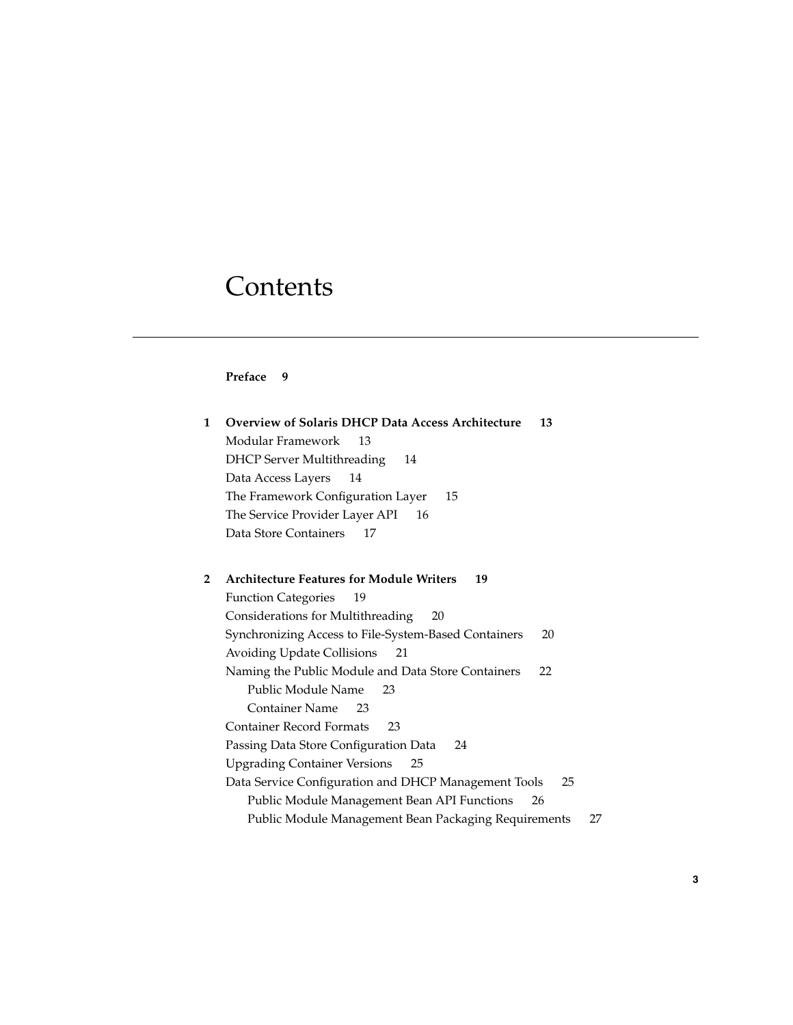# **Contents**

#### **Preface 9**

| 1 | <b>Overview of Solaris DHCP Data Access Architecture</b><br>13 |
|---|----------------------------------------------------------------|
|   | Modular Framework<br>13                                        |
|   | <b>DHCP Server Multithreading</b><br>14                        |
|   | Data Access Layers<br>14                                       |
|   | The Framework Configuration Layer<br>15                        |
|   | The Service Provider Layer API<br>16                           |
|   | Data Store Containers<br>17                                    |
|   |                                                                |
| 2 | <b>Architecture Features for Module Writers</b><br>19          |
|   | <b>Function Categories</b><br>19                               |
|   | Considerations for Multithreading<br>20                        |
|   | Synchronizing Access to File-System-Based Containers<br>20     |
|   | Avoiding Update Collisions<br>21                               |
|   | Naming the Public Module and Data Store Containers<br>22       |
|   | Public Module Name<br>23                                       |
|   | <b>Container Name</b><br>23                                    |
|   | <b>Container Record Formats</b><br>23                          |
|   | Passing Data Store Configuration Data<br>24                    |
|   | <b>Upgrading Container Versions</b><br>25                      |
|   | Data Service Configuration and DHCP Management Tools<br>25     |
|   | Public Module Management Bean API Functions<br>26              |
|   | Public Module Management Bean Packaging Requirements<br>27     |
|   |                                                                |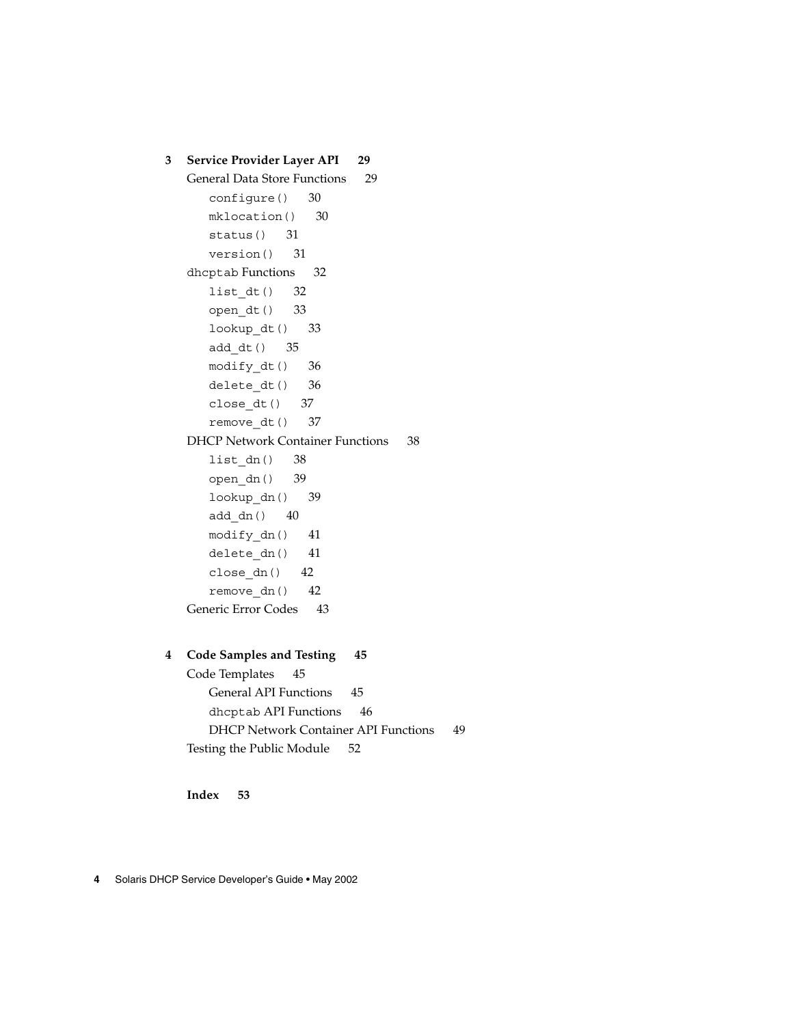```
3 Service Provider Layer API 29
   General Data Store Functions 29
      configure() 30
      mklocation() 30
      status() 31
      version() 31
   dhcptab Functions 32
      list_dt() 32
      open_dt() 33
      lookup_dt() 33
      add_dt() 35
      modify_dt() 36
      delete dt() 36
      close_dt() 37
      remove dt() 37
   DHCP Network Container Functions 38
      list dn() 38
      open_dn() 39
      lookup dn() 39
      add_dn() 40
      modify_dn() 41
      delete_dn() 41
      close_dn() 42
      remove_dn() 42
   Generic Error Codes 43
```
#### **4 Code Samples and Testing 45**

Code Templates 45 General API Functions 45 dhcptab API Functions 46 DHCP Network Container API Functions 49 Testing the Public Module 52

**Index 53**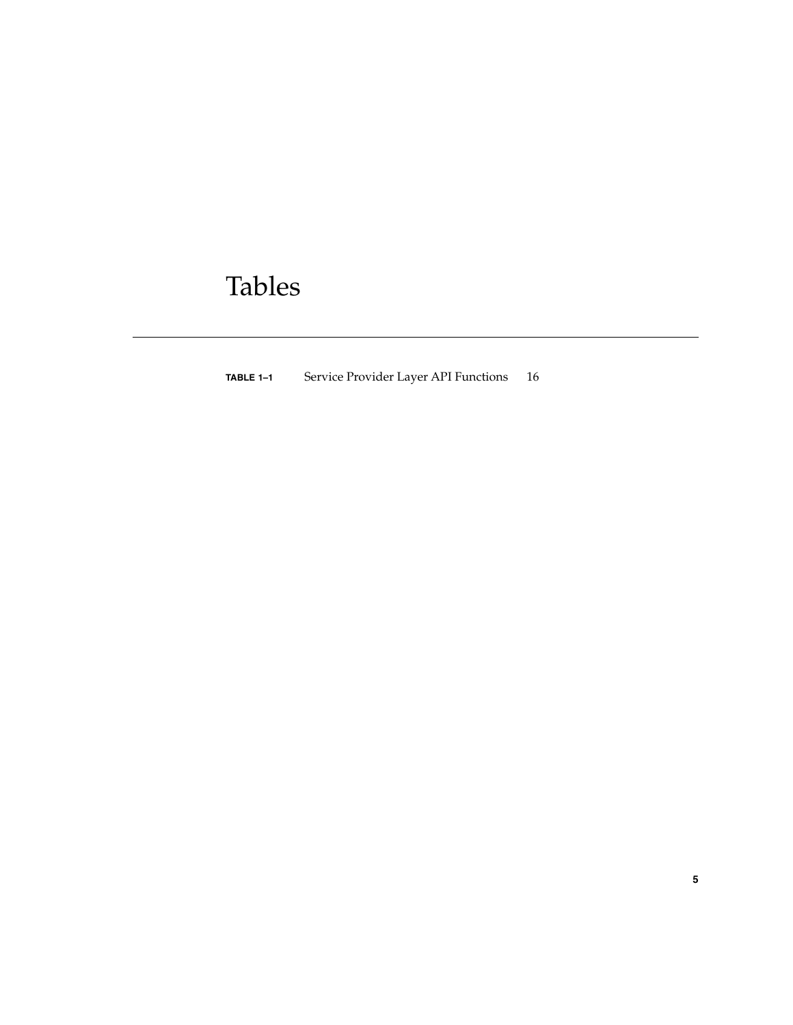# Tables

**TABLE 1–1** Service Provider Layer API Functions 16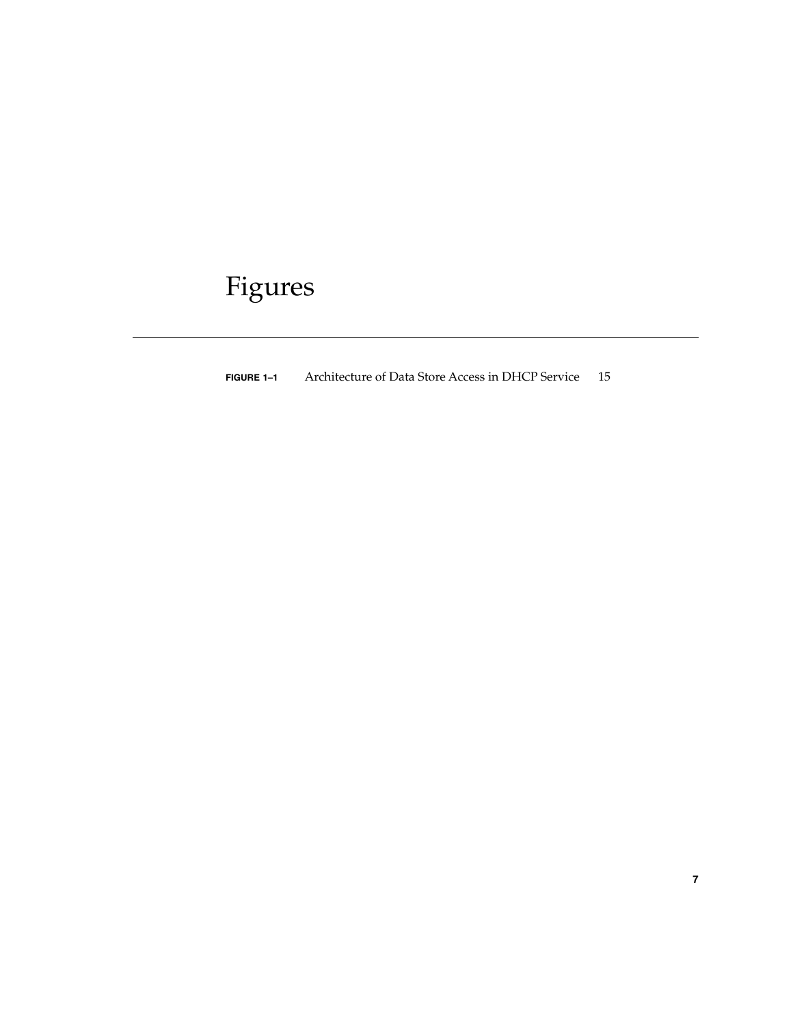# Figures

**FIGURE 1–1** Architecture of Data Store Access in DHCP Service 15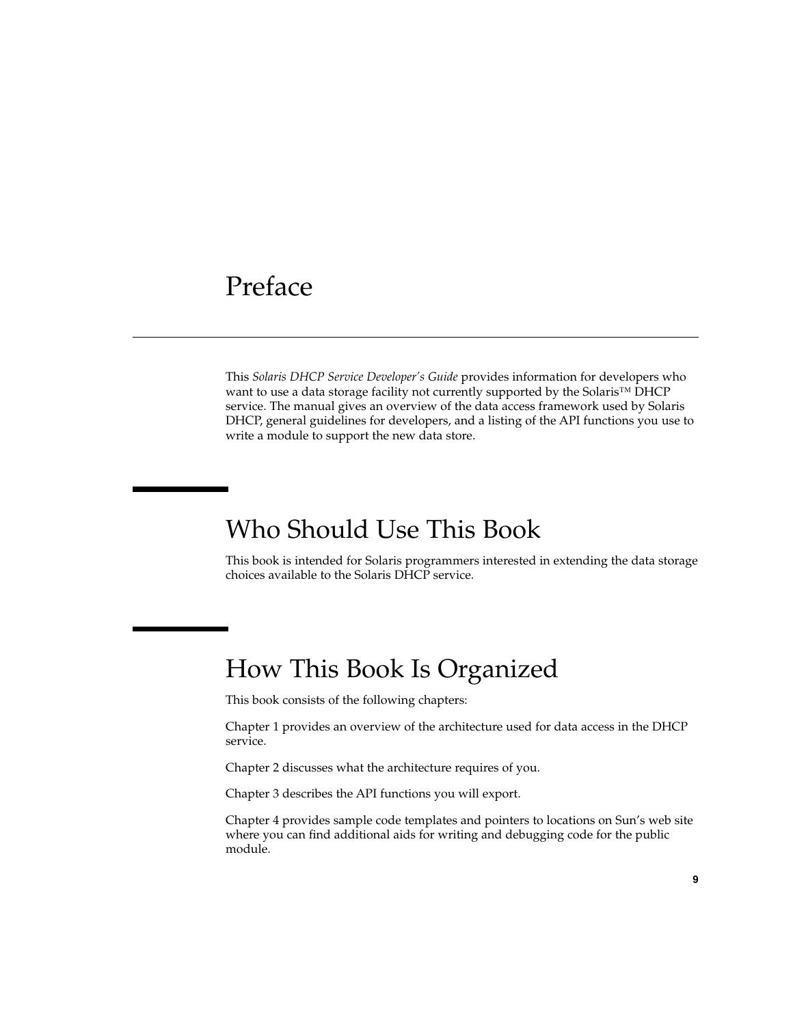## Preface

This *Solaris DHCP Service Developer's Guide* provides information for developers who want to use a data storage facility not currently supported by the Solaris<sup>™</sup> DHCP service. The manual gives an overview of the data access framework used by Solaris DHCP, general guidelines for developers, and a listing of the API functions you use to write a module to support the new data store.

## Who Should Use This Book

This book is intended for Solaris programmers interested in extending the data storage choices available to the Solaris DHCP service.

## How This Book Is Organized

This book consists of the following chapters:

Chapter 1 provides an overview of the architecture used for data access in the DHCP service.

Chapter 2 discusses what the architecture requires of you.

Chapter 3 describes the API functions you will export.

Chapter 4 provides sample code templates and pointers to locations on Sun's web site where you can find additional aids for writing and debugging code for the public module.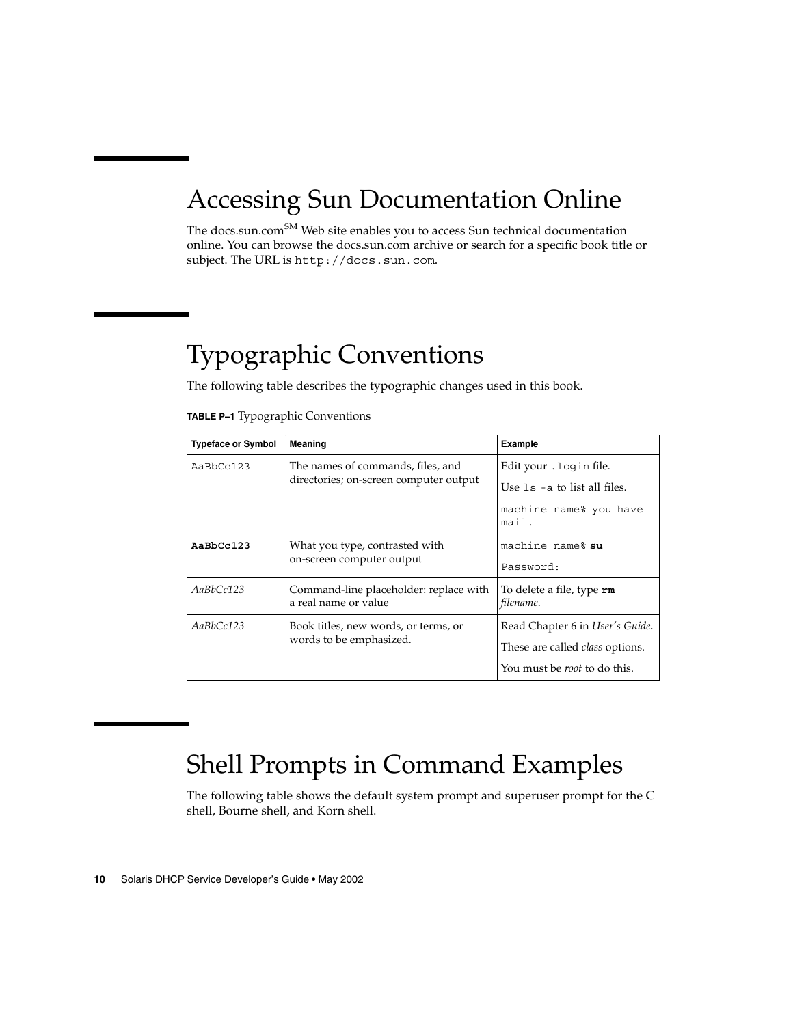# Accessing Sun Documentation Online

The docs.sun.com<sup>SM</sup> Web site enables you to access Sun technical documentation online. You can browse the docs.sun.com archive or search for a specific book title or subject. The URL is http://docs.sun.com.

# Typographic Conventions

The following table describes the typographic changes used in this book.

|  | TABLE P-1 Typographic Conventions |  |  |
|--|-----------------------------------|--|--|
|--|-----------------------------------|--|--|

| <b>Typeface or Symbol</b> | <b>Meaning</b>                                                 | Example                                       |
|---------------------------|----------------------------------------------------------------|-----------------------------------------------|
| AaBbCc123                 | The names of commands, files, and                              | Edit your . login file.                       |
|                           | directories; on-screen computer output                         | Use $1s$ -a to list all files.                |
|                           |                                                                | machine name% you have<br>mail.               |
| AaBbCc123                 | What you type, contrasted with                                 | machine name% su                              |
|                           | on-screen computer output                                      | Password:                                     |
| AaBbCc123                 | Command-line placeholder: replace with<br>a real name or value | To delete a file, type <b>rm</b><br>filename. |
| AaBbCc123                 | Book titles, new words, or terms, or                           | Read Chapter 6 in User's Guide.               |
|                           | words to be emphasized.                                        | These are called <i>class</i> options.        |
|                           |                                                                | You must be <i>root</i> to do this.           |

# Shell Prompts in Command Examples

The following table shows the default system prompt and superuser prompt for the C shell, Bourne shell, and Korn shell.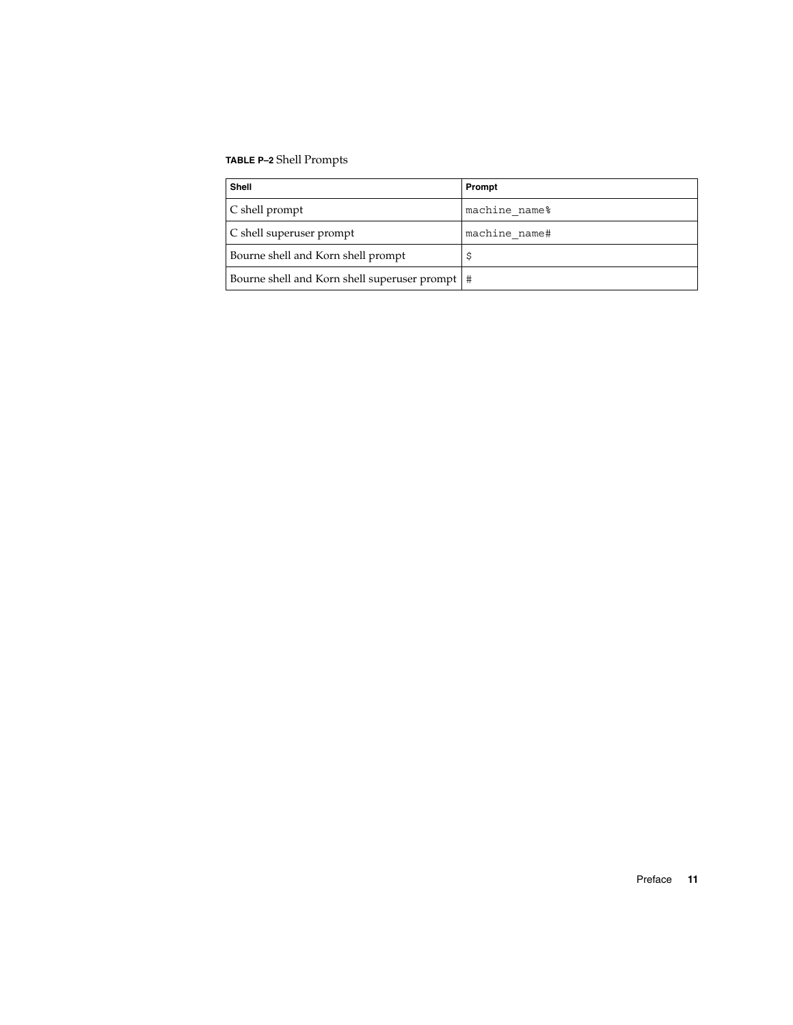#### **TABLE P–2** Shell Prompts

| <b>Shell</b>                                     | Prompt        |
|--------------------------------------------------|---------------|
| $\mathcal C$ shell prompt                        | machine name% |
| C shell superuser prompt                         | machine name# |
| Bourne shell and Korn shell prompt               |               |
| Bourne shell and Korn shell superuser prompt   # |               |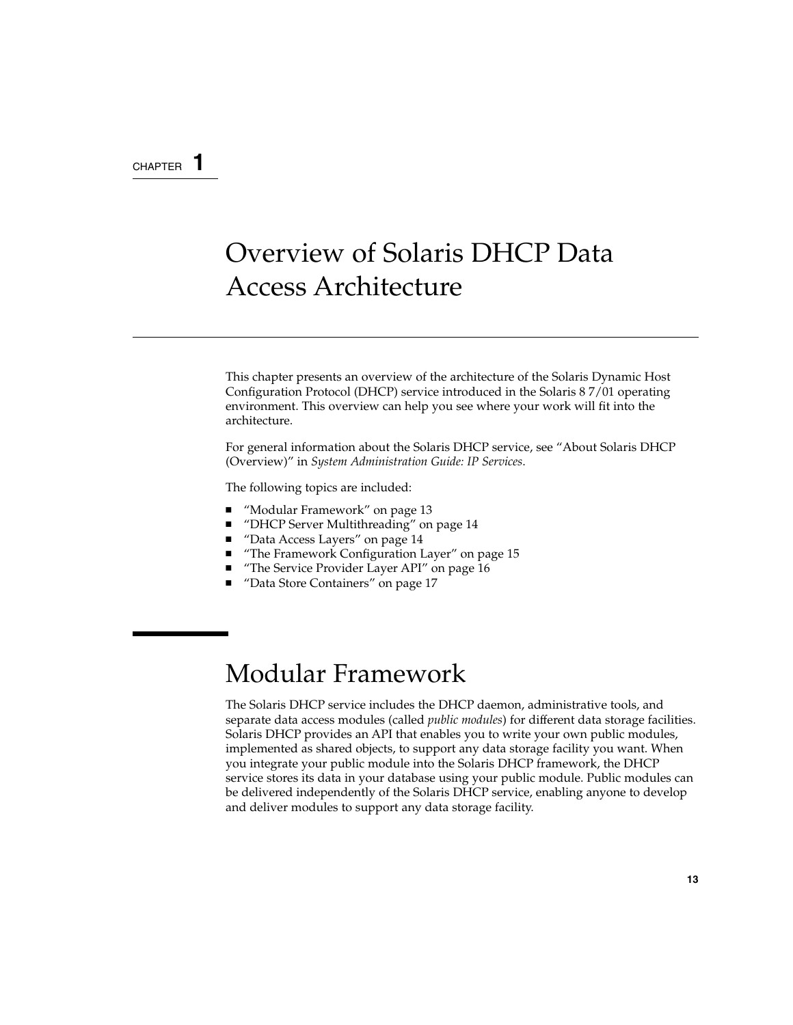#### CHAPTER **1**

# Overview of Solaris DHCP Data Access Architecture

This chapter presents an overview of the architecture of the Solaris Dynamic Host Configuration Protocol (DHCP) service introduced in the Solaris 8 7/01 operating environment. This overview can help you see where your work will fit into the architecture.

For general information about the Solaris DHCP service, see "About Solaris DHCP (Overview)" in *System Administration Guide: IP Services*.

The following topics are included:

- "Modular Framework" on page 13
- "DHCP Server Multithreading" on page 14
- "Data Access Layers" on page 14
- "The Framework Configuration Layer" on page 15
- "The Service Provider Layer API" on page 16
- "Data Store Containers" on page 17

## Modular Framework

The Solaris DHCP service includes the DHCP daemon, administrative tools, and separate data access modules (called *public modules*) for different data storage facilities. Solaris DHCP provides an API that enables you to write your own public modules, implemented as shared objects, to support any data storage facility you want. When you integrate your public module into the Solaris DHCP framework, the DHCP service stores its data in your database using your public module. Public modules can be delivered independently of the Solaris DHCP service, enabling anyone to develop and deliver modules to support any data storage facility.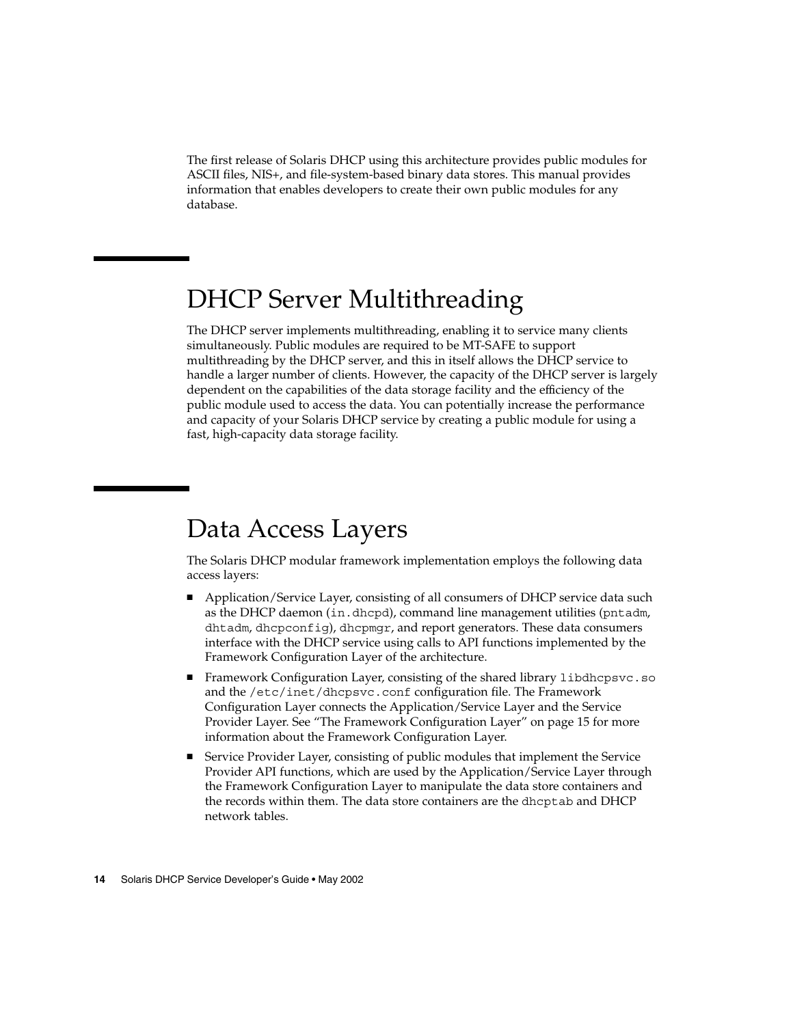The first release of Solaris DHCP using this architecture provides public modules for ASCII files, NIS+, and file-system-based binary data stores. This manual provides information that enables developers to create their own public modules for any database.

## DHCP Server Multithreading

The DHCP server implements multithreading, enabling it to service many clients simultaneously. Public modules are required to be MT-SAFE to support multithreading by the DHCP server, and this in itself allows the DHCP service to handle a larger number of clients. However, the capacity of the DHCP server is largely dependent on the capabilities of the data storage facility and the efficiency of the public module used to access the data. You can potentially increase the performance and capacity of your Solaris DHCP service by creating a public module for using a fast, high-capacity data storage facility.

## Data Access Layers

The Solaris DHCP modular framework implementation employs the following data access layers:

- Application/Service Layer, consisting of all consumers of DHCP service data such as the DHCP daemon (in.dhcpd), command line management utilities (pntadm, dhtadm, dhcpconfig), dhcpmgr, and report generators. These data consumers interface with the DHCP service using calls to API functions implemented by the Framework Configuration Layer of the architecture.
- Framework Configuration Layer, consisting of the shared library libdhcpsvc.so and the /etc/inet/dhcpsvc.conf configuration file. The Framework Configuration Layer connects the Application/Service Layer and the Service Provider Layer. See "The Framework Configuration Layer" on page 15 for more information about the Framework Configuration Layer.
- Service Provider Layer, consisting of public modules that implement the Service Provider API functions, which are used by the Application/Service Layer through the Framework Configuration Layer to manipulate the data store containers and the records within them. The data store containers are the dhcptab and DHCP network tables.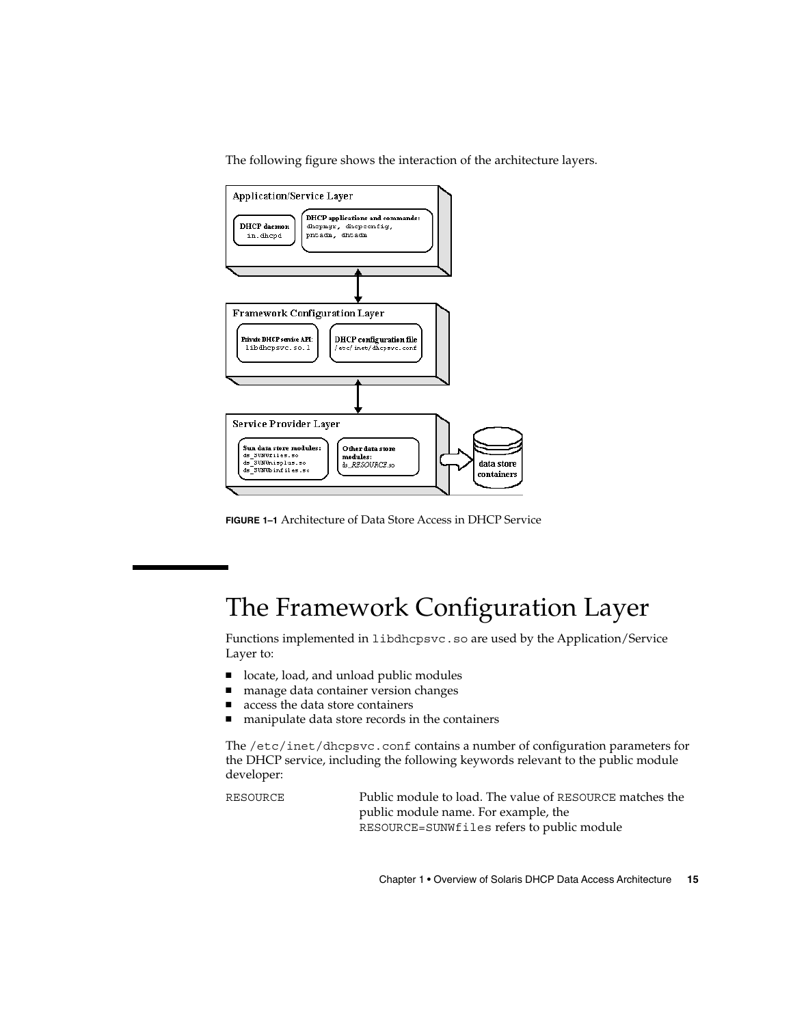The following figure shows the interaction of the architecture layers.



**FIGURE 1–1** Architecture of Data Store Access in DHCP Service

# The Framework Configuration Layer

Functions implemented in libdhcpsvc.so are used by the Application/Service Layer to:

- locate, load, and unload public modules
- manage data container version changes
- access the data store containers
- manipulate data store records in the containers

The /etc/inet/dhcpsvc.conf contains a number of configuration parameters for the DHCP service, including the following keywords relevant to the public module developer:

RESOURCE Public module to load. The value of RESOURCE matches the public module name. For example, the RESOURCE=SUNWfiles refers to public module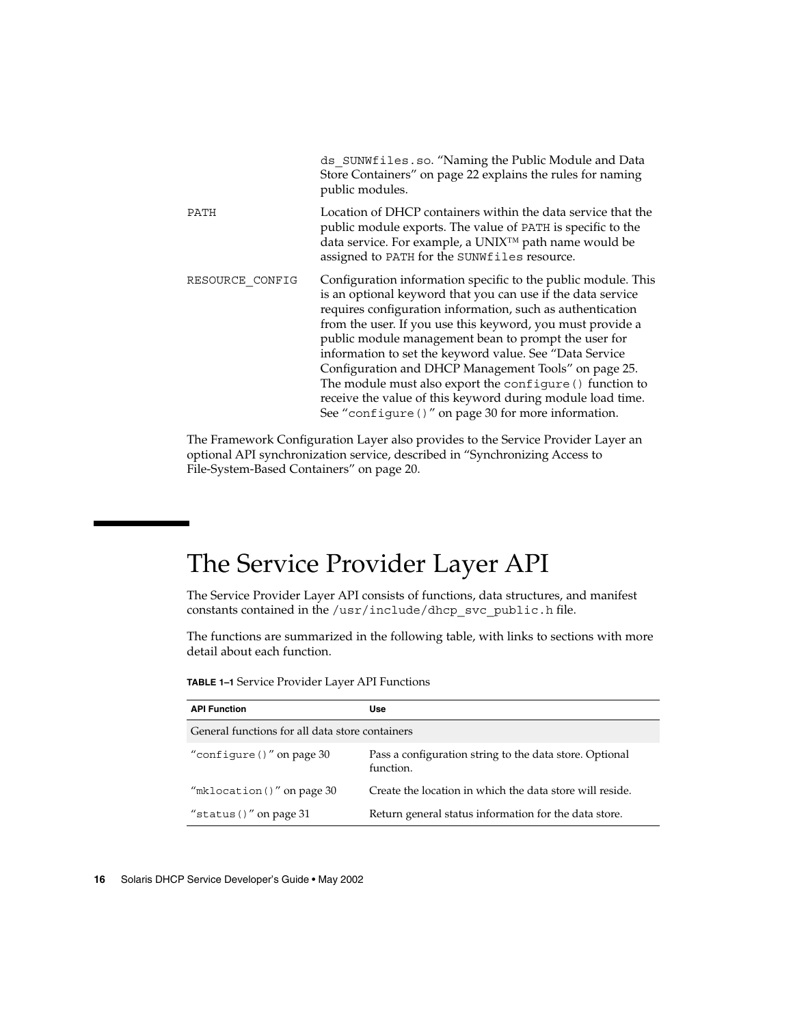|                 | ds SUNWfiles.so. "Naming the Public Module and Data<br>Store Containers" on page 22 explains the rules for naming<br>public modules.                                                                                                                                                                                                                                                                                                                                                                                                                                                                                  |
|-----------------|-----------------------------------------------------------------------------------------------------------------------------------------------------------------------------------------------------------------------------------------------------------------------------------------------------------------------------------------------------------------------------------------------------------------------------------------------------------------------------------------------------------------------------------------------------------------------------------------------------------------------|
| PATH            | Location of DHCP containers within the data service that the<br>public module exports. The value of PATH is specific to the<br>data service. For example, a UNIX™ path name would be<br>assigned to PATH for the SUNWfiles resource.                                                                                                                                                                                                                                                                                                                                                                                  |
| RESOURCE CONFIG | Configuration information specific to the public module. This<br>is an optional keyword that you can use if the data service<br>requires configuration information, such as authentication<br>from the user. If you use this keyword, you must provide a<br>public module management bean to prompt the user for<br>information to set the keyword value. See "Data Service"<br>Configuration and DHCP Management Tools" on page 25.<br>The module must also export the configure () function to<br>receive the value of this keyword during module load time.<br>See "configure ()" on page 30 for more information. |

The Framework Configuration Layer also provides to the Service Provider Layer an optional API synchronization service, described in "Synchronizing Access to File-System-Based Containers" on page 20.

# The Service Provider Layer API

The Service Provider Layer API consists of functions, data structures, and manifest constants contained in the /usr/include/dhcp\_svc\_public.h file.

The functions are summarized in the following table, with links to sections with more detail about each function.

| <b>API Function</b>                             | Use                                                                  |  |  |
|-------------------------------------------------|----------------------------------------------------------------------|--|--|
| General functions for all data store containers |                                                                      |  |  |
| "configure ()" on page $30$                     | Pass a configuration string to the data store. Optional<br>function. |  |  |
| "mklocation $()$ " on page 30                   | Create the location in which the data store will reside.             |  |  |
| "status $()$ " on page 31                       | Return general status information for the data store.                |  |  |

**TABLE 1–1** Service Provider Layer API Functions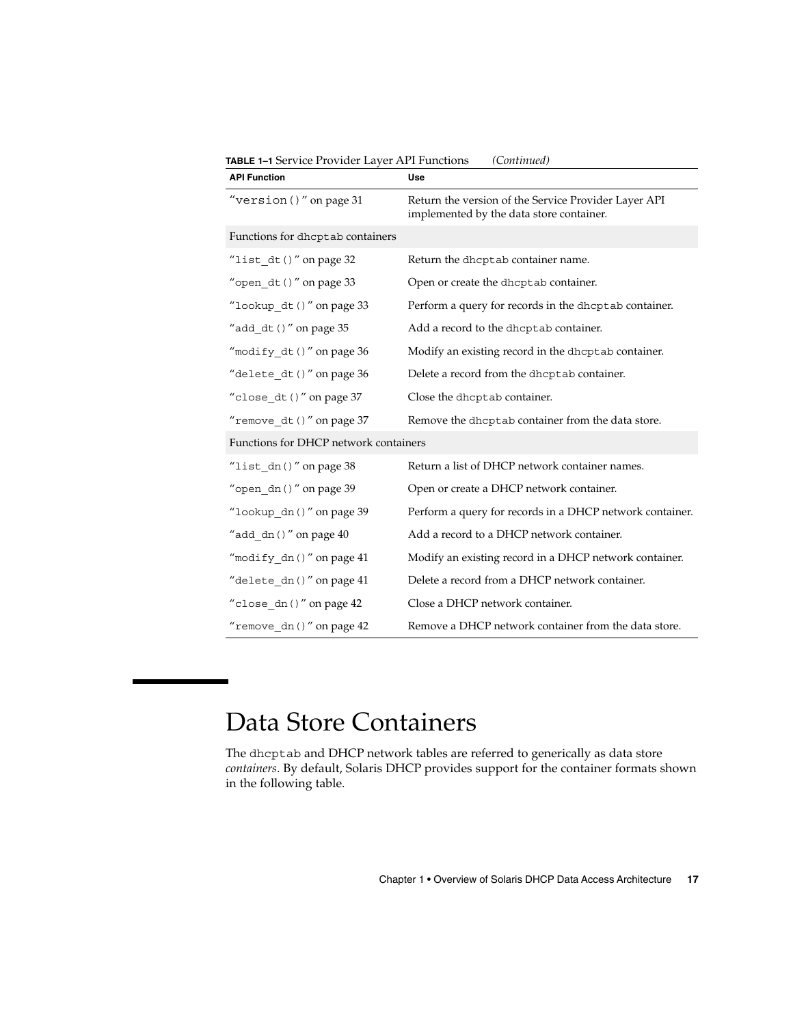| <b>API Function</b>                   | Use                                                                                              |  |
|---------------------------------------|--------------------------------------------------------------------------------------------------|--|
| "version $()$ " on page 31            | Return the version of the Service Provider Layer API<br>implemented by the data store container. |  |
| Functions for dhcptab containers      |                                                                                                  |  |
| "list_dt()" on page $32$              | Return the dhcptab container name.                                                               |  |
| "open $dt()$ " on page 33             | Open or create the dhcptab container.                                                            |  |
| "lookup dt ()" on page 33             | Perform a query for records in the dhcptab container.                                            |  |
| "add $dt()$ " on page 35              | Add a record to the dhcptab container.                                                           |  |
| "modify $dt()$ " on page 36           | Modify an existing record in the dhcptab container.                                              |  |
| "delete dt ()" on page 36             | Delete a record from the dhcptab container.                                                      |  |
| "close_dt()" on page 37               | Close the dhcptab container.                                                                     |  |
| "remove_dt()" on page 37              | Remove the dhcptab container from the data store.                                                |  |
| Functions for DHCP network containers |                                                                                                  |  |
| "list $dn()$ " on page 38             | Return a list of DHCP network container names.                                                   |  |
| "open dn $()$ " on page 39            | Open or create a DHCP network container.                                                         |  |
| "lookup dn()" on page 39              | Perform a query for records in a DHCP network container.                                         |  |
| "add $dn()$ " on page $40$            | Add a record to a DHCP network container.                                                        |  |
| "modify_dn()" on page 41              | Modify an existing record in a DHCP network container.                                           |  |
| "delete dn()" on page 41              | Delete a record from a DHCP network container.                                                   |  |
| "close_dn()" on page 42               | Close a DHCP network container.                                                                  |  |
| "remove $dn()$ " on page 42           | Remove a DHCP network container from the data store.                                             |  |

**TABLE 1–1** Service Provider Layer API Functions *(Continued)*

# Data Store Containers

The dhcptab and DHCP network tables are referred to generically as data store *containers*. By default, Solaris DHCP provides support for the container formats shown in the following table.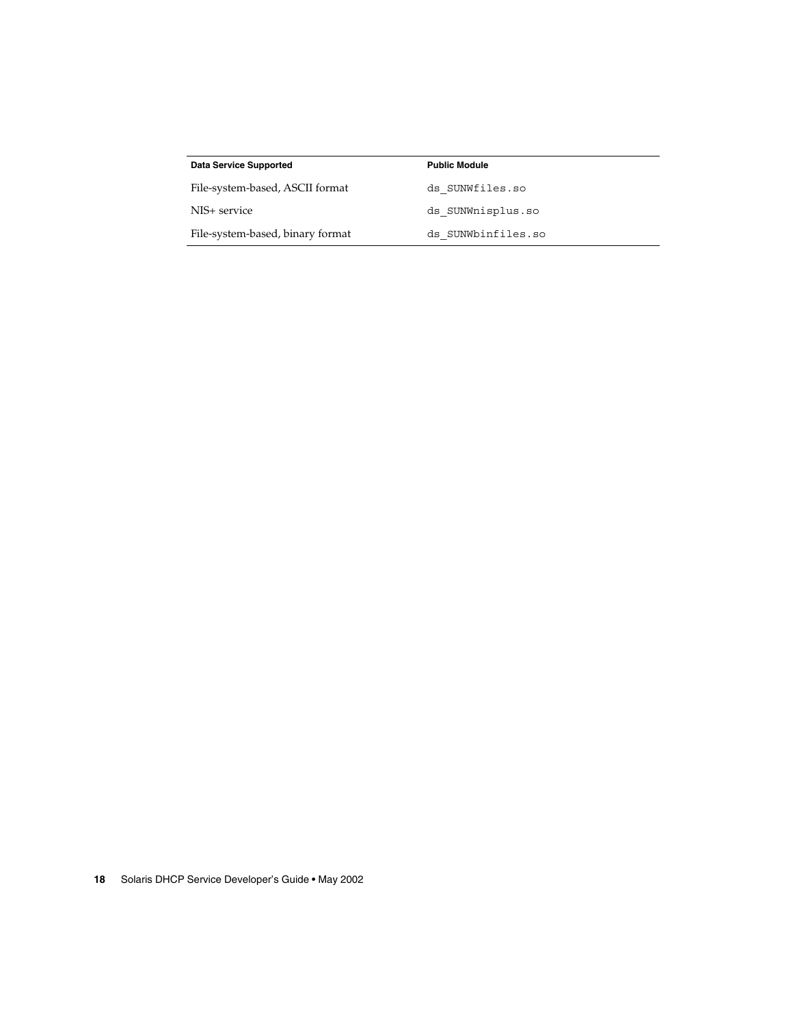| <b>Data Service Supported</b>    | <b>Public Module</b> |
|----------------------------------|----------------------|
| File-system-based, ASCII format  | ds SUNWfiles.so      |
| NIS+ service                     | ds SUNWnisplus.so    |
| File-system-based, binary format | ds SUNWbinfiles.so   |
|                                  |                      |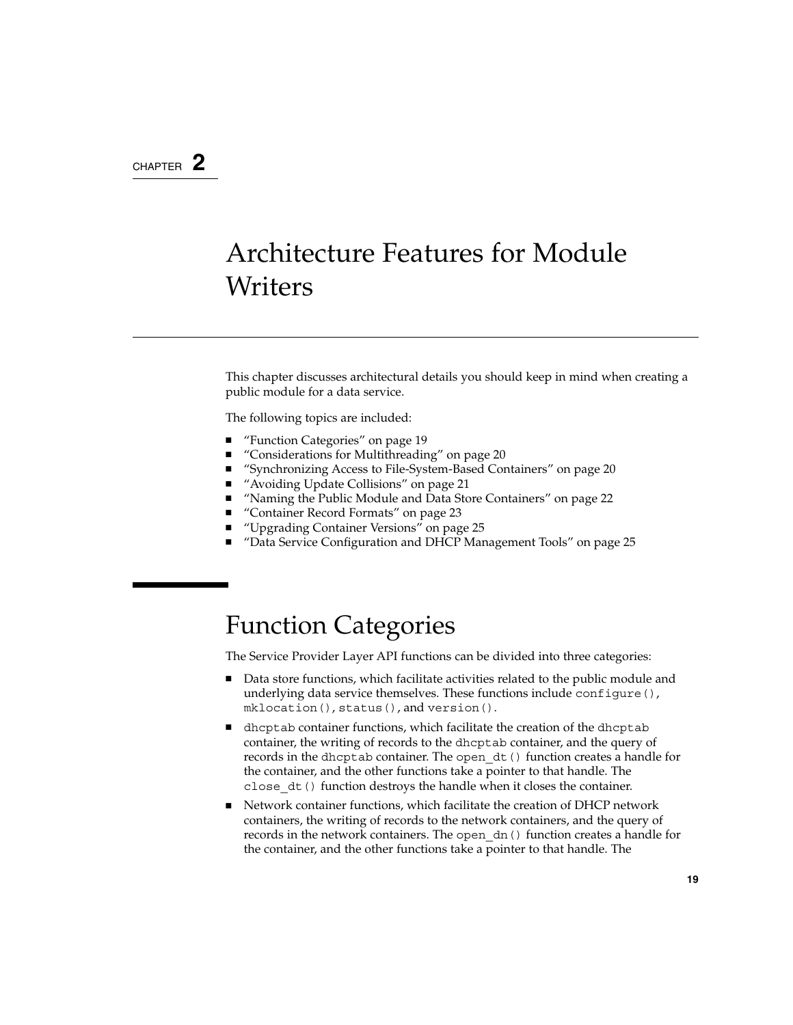#### CHAPTER **2**

# Architecture Features for Module **Writers**

This chapter discusses architectural details you should keep in mind when creating a public module for a data service.

The following topics are included:

- "Function Categories" on page 19
- "Considerations for Multithreading" on page 20<br>■ "Synchronizing Access to File-System-Based Cor
- "Synchronizing Access to File-System-Based Containers" on page 20
- "Avoiding Update Collisions" on page 21
- "Naming the Public Module and Data Store Containers" on page 22
- "Container Record Formats" on page 23
- *"*Upgrading Container Versions" on page 25
- "Data Service Configuration and DHCP Management Tools" on page 25

## Function Categories

The Service Provider Layer API functions can be divided into three categories:

- Data store functions, which facilitate activities related to the public module and underlying data service themselves. These functions include configure(), mklocation(), status(), and version().
- dhcptab container functions, which facilitate the creation of the dhcptab container, the writing of records to the dhcptab container, and the query of records in the dhcptab container. The open\_dt() function creates a handle for the container, and the other functions take a pointer to that handle. The close\_dt() function destroys the handle when it closes the container.
- Network container functions, which facilitate the creation of DHCP network containers, the writing of records to the network containers, and the query of records in the network containers. The open\_dn() function creates a handle for the container, and the other functions take a pointer to that handle. The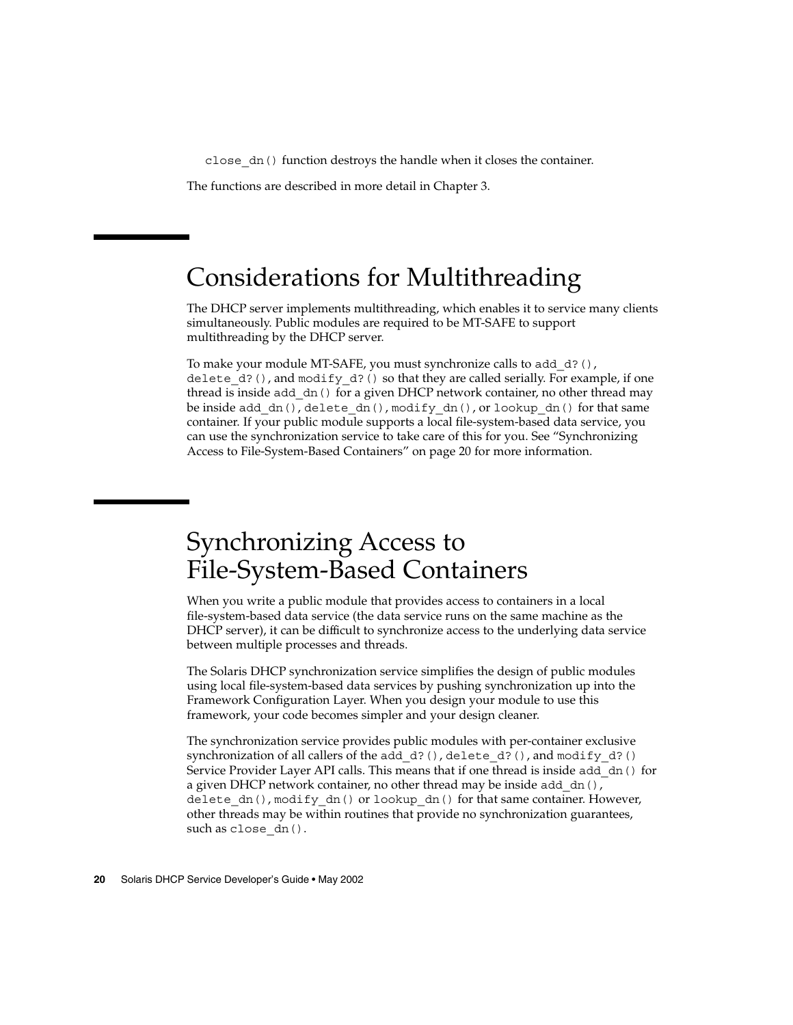close\_dn() function destroys the handle when it closes the container.

The functions are described in more detail in Chapter 3.

## Considerations for Multithreading

The DHCP server implements multithreading, which enables it to service many clients simultaneously. Public modules are required to be MT-SAFE to support multithreading by the DHCP server.

To make your module MT-SAFE, you must synchronize calls to add\_d?(), delete  $d$ ?(), and modify  $d$ ?() so that they are called serially. For example, if one thread is inside add\_dn() for a given DHCP network container, no other thread may be inside add  $dn()$ , delete  $dn()$ , modify  $dn()$ , or lookup dn() for that same container. If your public module supports a local file-system-based data service, you can use the synchronization service to take care of this for you. See "Synchronizing Access to File-System-Based Containers" on page 20 for more information.

## Synchronizing Access to File-System-Based Containers

When you write a public module that provides access to containers in a local file-system-based data service (the data service runs on the same machine as the DHCP server), it can be difficult to synchronize access to the underlying data service between multiple processes and threads.

The Solaris DHCP synchronization service simplifies the design of public modules using local file-system-based data services by pushing synchronization up into the Framework Configuration Layer. When you design your module to use this framework, your code becomes simpler and your design cleaner.

The synchronization service provides public modules with per-container exclusive synchronization of all callers of the add d?(), delete d?(), and modify d?() Service Provider Layer API calls. This means that if one thread is inside add\_dn() for a given DHCP network container, no other thread may be inside add  $dn($ ), delete dn(), modify dn() or lookup dn() for that same container. However, other threads may be within routines that provide no synchronization guarantees, such as close\_dn().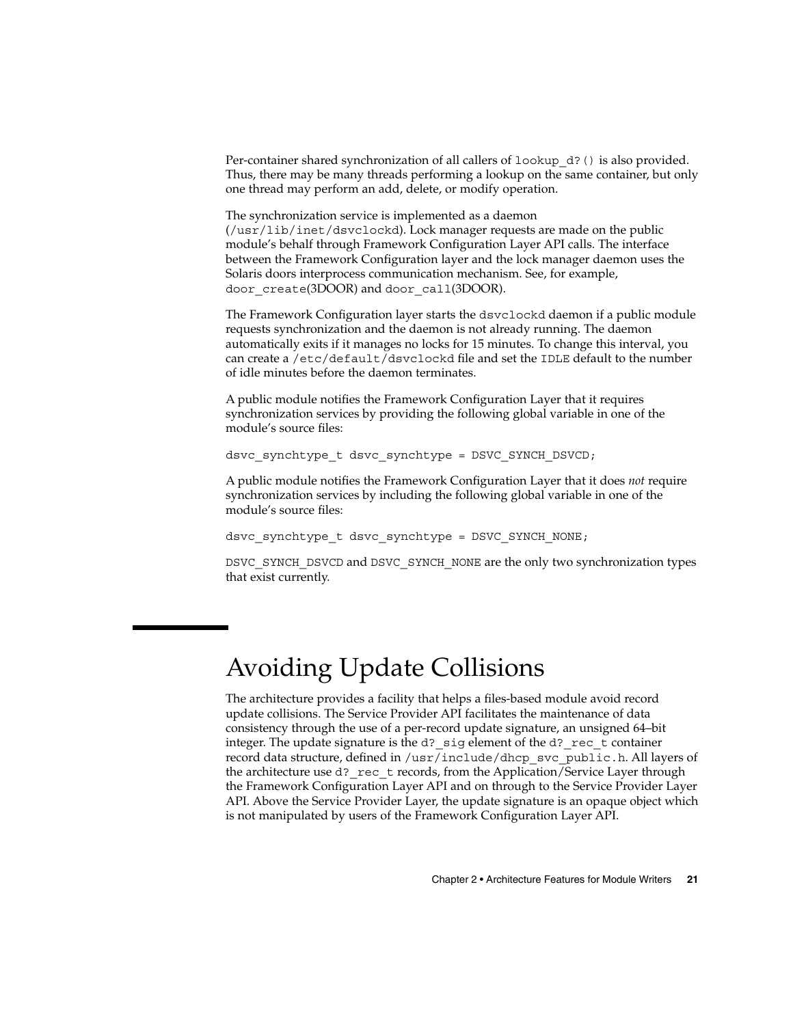Per-container shared synchronization of all callers of lookup\_d?() is also provided. Thus, there may be many threads performing a lookup on the same container, but only one thread may perform an add, delete, or modify operation.

The synchronization service is implemented as a daemon (/usr/lib/inet/dsvclockd). Lock manager requests are made on the public module's behalf through Framework Configuration Layer API calls. The interface between the Framework Configuration layer and the lock manager daemon uses the Solaris doors interprocess communication mechanism. See, for example, door\_create(3DOOR) and door\_call(3DOOR).

The Framework Configuration layer starts the dsvclockd daemon if a public module requests synchronization and the daemon is not already running. The daemon automatically exits if it manages no locks for 15 minutes. To change this interval, you can create a /etc/default/dsvclockd file and set the IDLE default to the number of idle minutes before the daemon terminates.

A public module notifies the Framework Configuration Layer that it requires synchronization services by providing the following global variable in one of the module's source files:

dsvc synchtype t dsvc synchtype = DSVC SYNCH DSVCD;

A public module notifies the Framework Configuration Layer that it does *not* require synchronization services by including the following global variable in one of the module's source files:

dsvc synchtype t dsvc synchtype = DSVC SYNCH\_NONE;

DSVC\_SYNCH\_DSVCD and DSVC\_SYNCH\_NONE are the only two synchronization types that exist currently.

# Avoiding Update Collisions

The architecture provides a facility that helps a files-based module avoid record update collisions. The Service Provider API facilitates the maintenance of data consistency through the use of a per-record update signature, an unsigned 64–bit integer. The update signature is the d? sig element of the d? rec\_t container record data structure, defined in /usr/include/dhcp\_svc\_public.h. All layers of the architecture use d? rec\_t records, from the Application/Service Layer through the Framework Configuration Layer API and on through to the Service Provider Layer API. Above the Service Provider Layer, the update signature is an opaque object which is not manipulated by users of the Framework Configuration Layer API.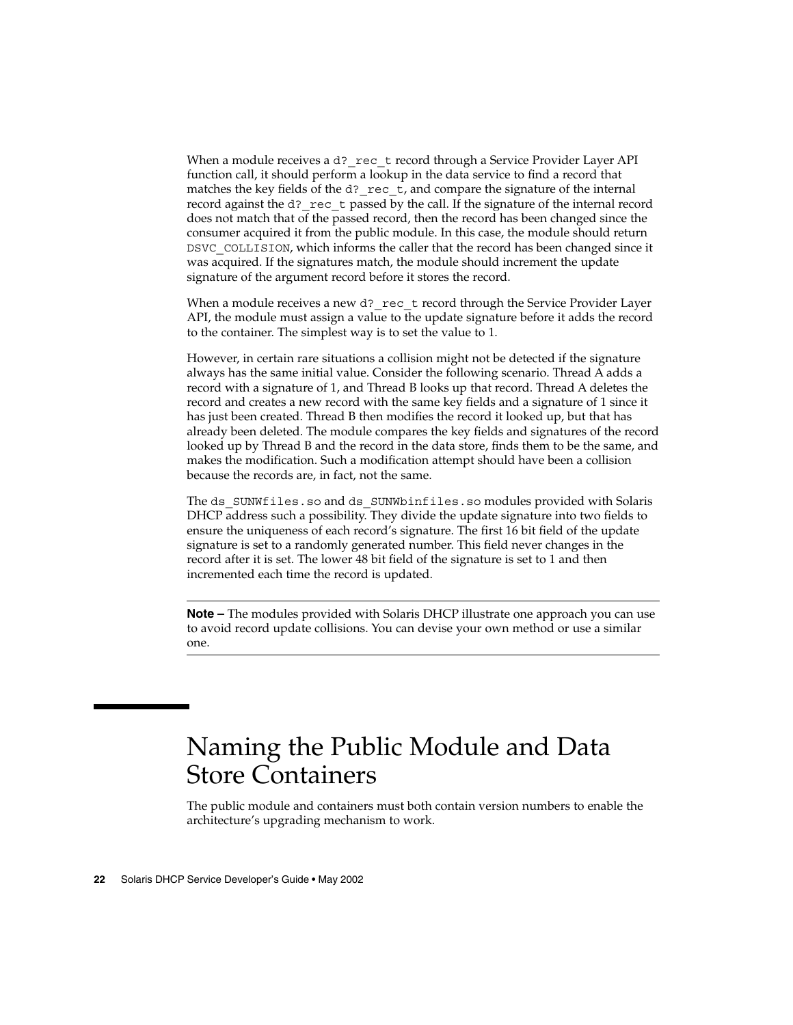When a module receives a d?  $rec$  t record through a Service Provider Layer API function call, it should perform a lookup in the data service to find a record that matches the key fields of the d?  $rec$  t, and compare the signature of the internal record against the d?\_rec\_t passed by the call. If the signature of the internal record does not match that of the passed record, then the record has been changed since the consumer acquired it from the public module. In this case, the module should return DSVC\_COLLISION, which informs the caller that the record has been changed since it was acquired. If the signatures match, the module should increment the update signature of the argument record before it stores the record.

When a module receives a new d? rec  $t$  record through the Service Provider Layer API, the module must assign a value to the update signature before it adds the record to the container. The simplest way is to set the value to 1.

However, in certain rare situations a collision might not be detected if the signature always has the same initial value. Consider the following scenario. Thread A adds a record with a signature of 1, and Thread B looks up that record. Thread A deletes the record and creates a new record with the same key fields and a signature of 1 since it has just been created. Thread B then modifies the record it looked up, but that has already been deleted. The module compares the key fields and signatures of the record looked up by Thread B and the record in the data store, finds them to be the same, and makes the modification. Such a modification attempt should have been a collision because the records are, in fact, not the same.

The ds SUNWfiles.so and ds SUNWbinfiles.so modules provided with Solaris DHCP address such a possibility. They divide the update signature into two fields to ensure the uniqueness of each record's signature. The first 16 bit field of the update signature is set to a randomly generated number. This field never changes in the record after it is set. The lower 48 bit field of the signature is set to 1 and then incremented each time the record is updated.

**Note –** The modules provided with Solaris DHCP illustrate one approach you can use to avoid record update collisions. You can devise your own method or use a similar one.

## Naming the Public Module and Data Store Containers

The public module and containers must both contain version numbers to enable the architecture's upgrading mechanism to work.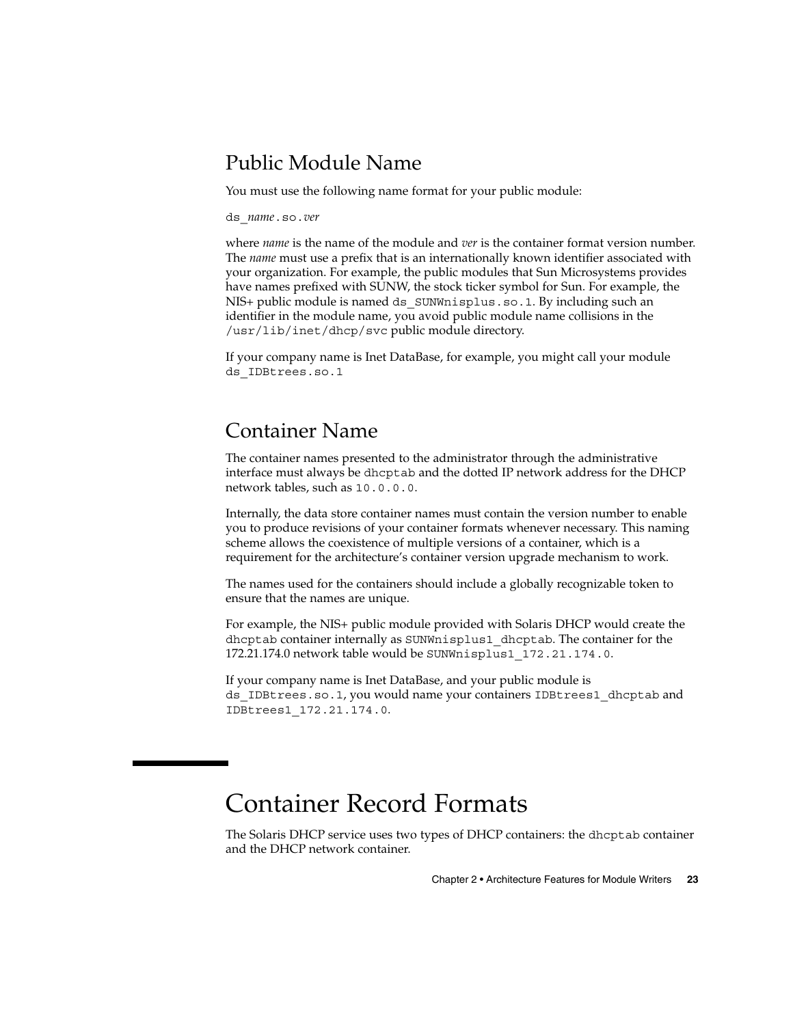## Public Module Name

You must use the following name format for your public module:

ds\_*name*.so.*ver*

where *name* is the name of the module and *ver* is the container format version number. The *name* must use a prefix that is an internationally known identifier associated with your organization. For example, the public modules that Sun Microsystems provides have names prefixed with SUNW, the stock ticker symbol for Sun. For example, the NIS+ public module is named ds\_SUNWnisplus.so.1. By including such an identifier in the module name, you avoid public module name collisions in the /usr/lib/inet/dhcp/svc public module directory.

If your company name is Inet DataBase, for example, you might call your module ds\_IDBtrees.so.1

## Container Name

The container names presented to the administrator through the administrative interface must always be dhcptab and the dotted IP network address for the DHCP network tables, such as 10.0.0.0.

Internally, the data store container names must contain the version number to enable you to produce revisions of your container formats whenever necessary. This naming scheme allows the coexistence of multiple versions of a container, which is a requirement for the architecture's container version upgrade mechanism to work.

The names used for the containers should include a globally recognizable token to ensure that the names are unique.

For example, the NIS+ public module provided with Solaris DHCP would create the dhcptab container internally as SUNWnisplus1\_dhcptab. The container for the 172.21.174.0 network table would be SUNWnisplus1\_172.21.174.0.

If your company name is Inet DataBase, and your public module is ds IDBtrees.so.1, you would name your containers IDBtrees1 dhcptab and IDBtrees1\_172.21.174.0.

## Container Record Formats

The Solaris DHCP service uses two types of DHCP containers: the dhcptab container and the DHCP network container.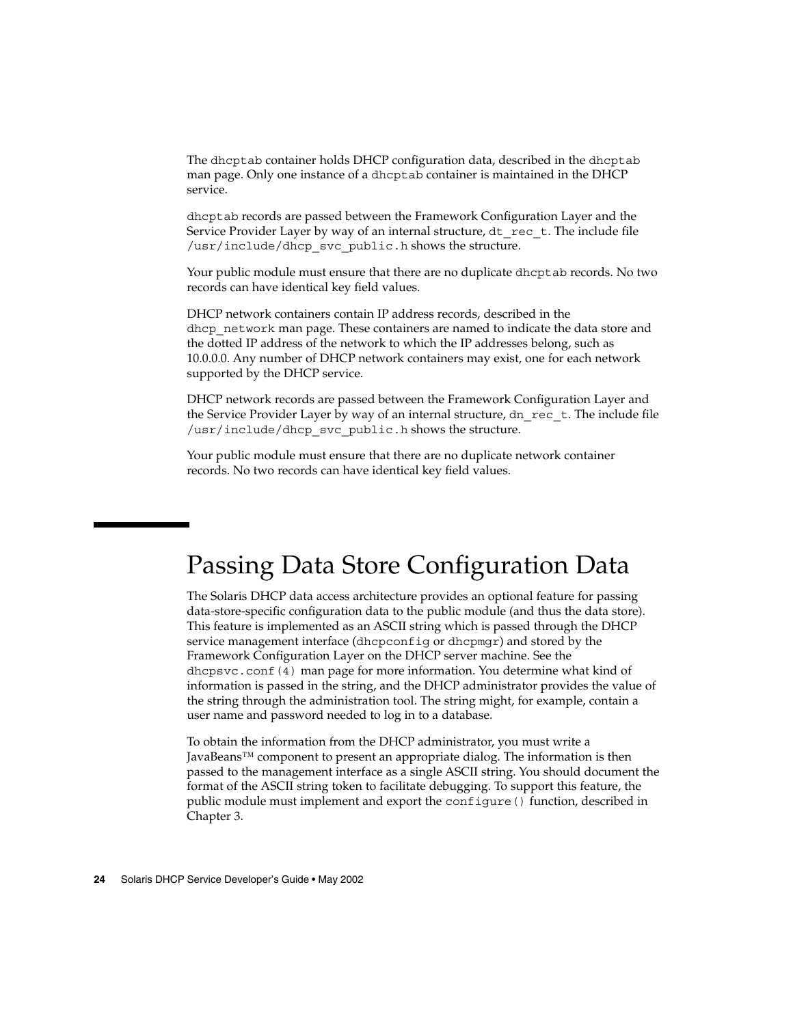The dhcptab container holds DHCP configuration data, described in the dhcptab man page. Only one instance of a dhcptab container is maintained in the DHCP service.

dhcptab records are passed between the Framework Configuration Layer and the Service Provider Layer by way of an internal structure,  $dt$  rec  $t$ . The include file /usr/include/dhcp\_svc\_public.h shows the structure.

Your public module must ensure that there are no duplicate dhcptab records. No two records can have identical key field values.

DHCP network containers contain IP address records, described in the dhcp network man page. These containers are named to indicate the data store and the dotted IP address of the network to which the IP addresses belong, such as 10.0.0.0. Any number of DHCP network containers may exist, one for each network supported by the DHCP service.

DHCP network records are passed between the Framework Configuration Layer and the Service Provider Layer by way of an internal structure,  $dn\text{ rec }t$ . The include file /usr/include/dhcp\_svc\_public.h shows the structure.

Your public module must ensure that there are no duplicate network container records. No two records can have identical key field values.

## Passing Data Store Configuration Data

The Solaris DHCP data access architecture provides an optional feature for passing data-store-specific configuration data to the public module (and thus the data store). This feature is implemented as an ASCII string which is passed through the DHCP service management interface (dhcpconfig or dhcpmgr) and stored by the Framework Configuration Layer on the DHCP server machine. See the dhcpsvc.conf(4) man page for more information. You determine what kind of information is passed in the string, and the DHCP administrator provides the value of the string through the administration tool. The string might, for example, contain a user name and password needed to log in to a database.

To obtain the information from the DHCP administrator, you must write a JavaBeans™ component to present an appropriate dialog. The information is then passed to the management interface as a single ASCII string. You should document the format of the ASCII string token to facilitate debugging. To support this feature, the public module must implement and export the configure() function, described in Chapter 3.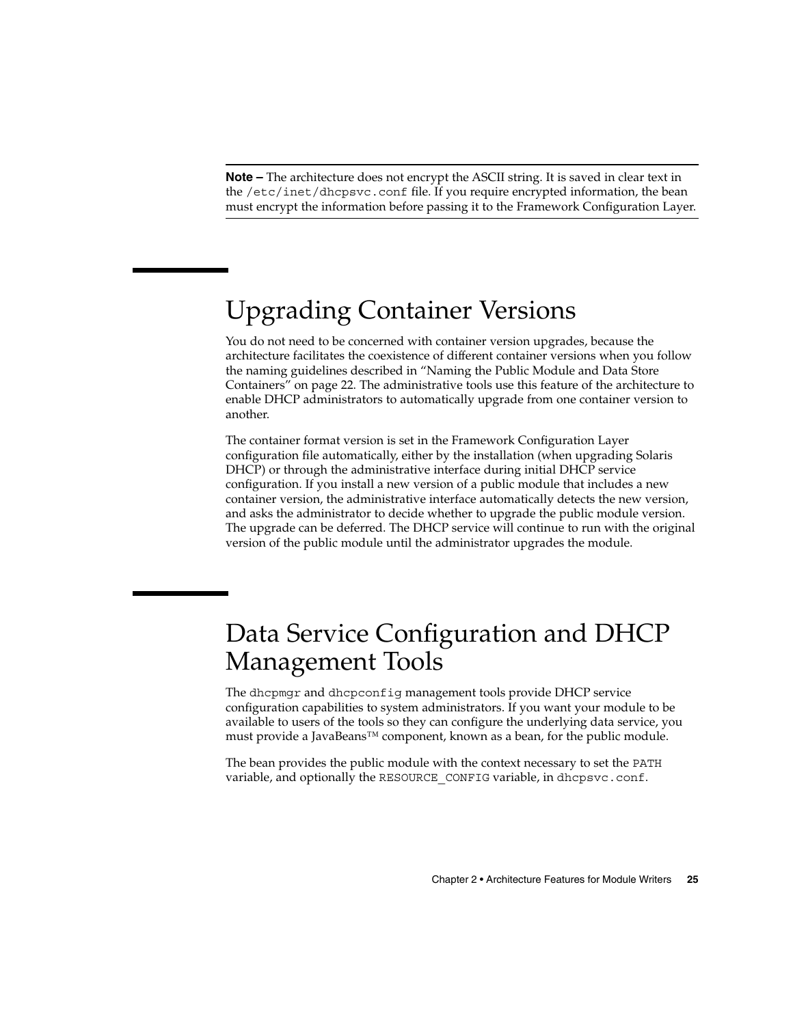**Note –** The architecture does not encrypt the ASCII string. It is saved in clear text in the /etc/inet/dhcpsvc.conf file. If you require encrypted information, the bean must encrypt the information before passing it to the Framework Configuration Layer.

## Upgrading Container Versions

You do not need to be concerned with container version upgrades, because the architecture facilitates the coexistence of different container versions when you follow the naming guidelines described in "Naming the Public Module and Data Store Containers" on page 22. The administrative tools use this feature of the architecture to enable DHCP administrators to automatically upgrade from one container version to another.

The container format version is set in the Framework Configuration Layer configuration file automatically, either by the installation (when upgrading Solaris DHCP) or through the administrative interface during initial DHCP service configuration. If you install a new version of a public module that includes a new container version, the administrative interface automatically detects the new version, and asks the administrator to decide whether to upgrade the public module version. The upgrade can be deferred. The DHCP service will continue to run with the original version of the public module until the administrator upgrades the module.

## Data Service Configuration and DHCP Management Tools

The dhcpmgr and dhcpconfig management tools provide DHCP service configuration capabilities to system administrators. If you want your module to be available to users of the tools so they can configure the underlying data service, you must provide a JavaBeans™ component, known as a bean, for the public module.

The bean provides the public module with the context necessary to set the PATH variable, and optionally the RESOURCE\_CONFIG variable, in dhcpsvc.conf.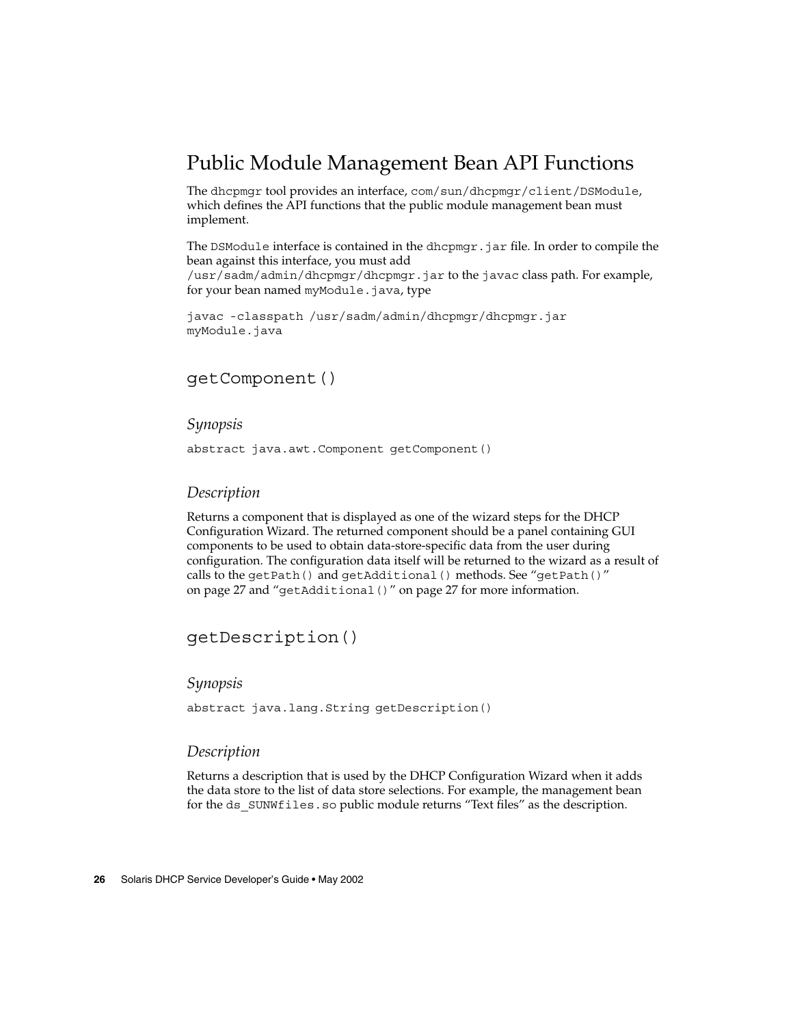## Public Module Management Bean API Functions

The dhcpmgr tool provides an interface, com/sun/dhcpmgr/client/DSModule, which defines the API functions that the public module management bean must implement.

The DSModule interface is contained in the dhcpmgr.jar file. In order to compile the bean against this interface, you must add /usr/sadm/admin/dhcpmgr/dhcpmgr.jar to the javac class path. For example, for your bean named myModule.java, type

javac -classpath /usr/sadm/admin/dhcpmgr/dhcpmgr.jar myModule.java

#### getComponent()

#### *Synopsis*

abstract java.awt.Component getComponent()

#### *Description*

Returns a component that is displayed as one of the wizard steps for the DHCP Configuration Wizard. The returned component should be a panel containing GUI components to be used to obtain data-store-specific data from the user during configuration. The configuration data itself will be returned to the wizard as a result of calls to the getPath() and getAdditional() methods. See "getPath()" on page 27 and "getAdditional()" on page 27 for more information.

#### getDescription()

#### *Synopsis*

abstract java.lang.String getDescription()

#### *Description*

Returns a description that is used by the DHCP Configuration Wizard when it adds the data store to the list of data store selections. For example, the management bean for the ds SUNWfiles.so public module returns "Text files" as the description.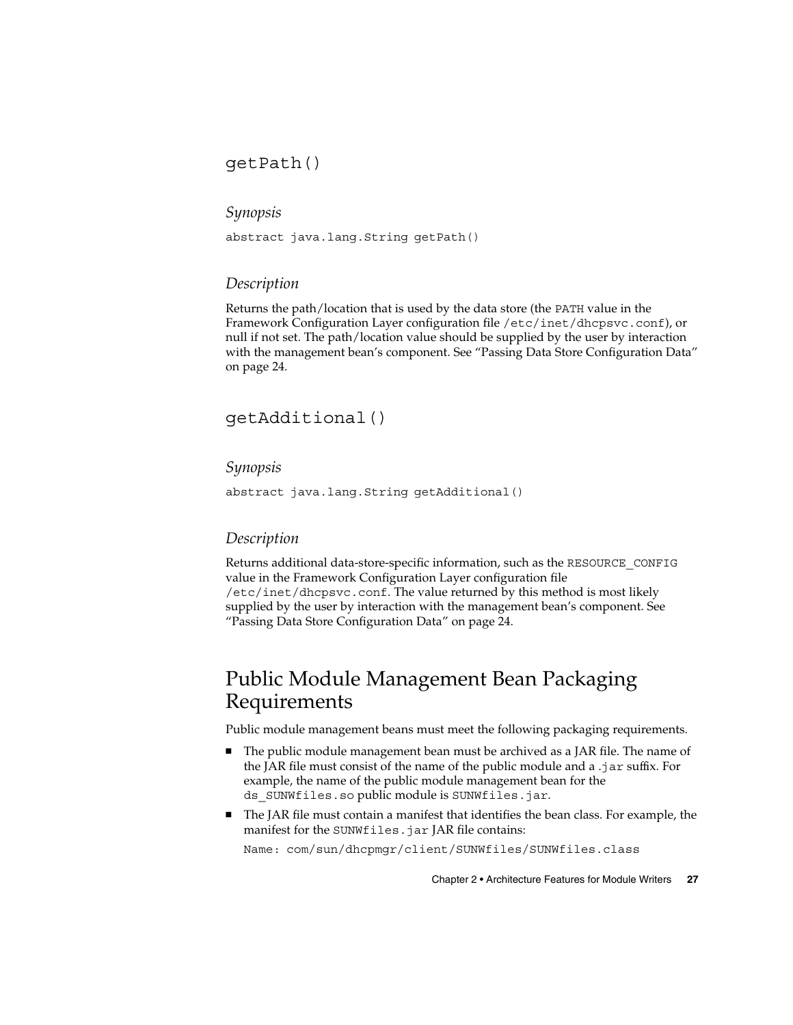#### getPath()

#### *Synopsis*

abstract java.lang.String getPath()

#### *Description*

Returns the path/location that is used by the data store (the PATH value in the Framework Configuration Layer configuration file /etc/inet/dhcpsvc.conf), or null if not set. The path/location value should be supplied by the user by interaction with the management bean's component. See "Passing Data Store Configuration Data" on page 24.

#### getAdditional()

#### *Synopsis*

abstract java.lang.String getAdditional()

#### *Description*

Returns additional data-store-specific information, such as the RESOURCE\_CONFIG value in the Framework Configuration Layer configuration file /etc/inet/dhcpsvc.conf. The value returned by this method is most likely supplied by the user by interaction with the management bean's component. See "Passing Data Store Configuration Data" on page 24.

## Public Module Management Bean Packaging Requirements

Public module management beans must meet the following packaging requirements.

- The public module management bean must be archived as a JAR file. The name of the JAR file must consist of the name of the public module and a .jar suffix. For example, the name of the public module management bean for the ds\_SUNWfiles.so public module is SUNWfiles.jar.
- The JAR file must contain a manifest that identifies the bean class. For example, the manifest for the SUNWfiles.jar JAR file contains:

Name: com/sun/dhcpmgr/client/SUNWfiles/SUNWfiles.class

Chapter 2 • Architecture Features for Module Writers **27**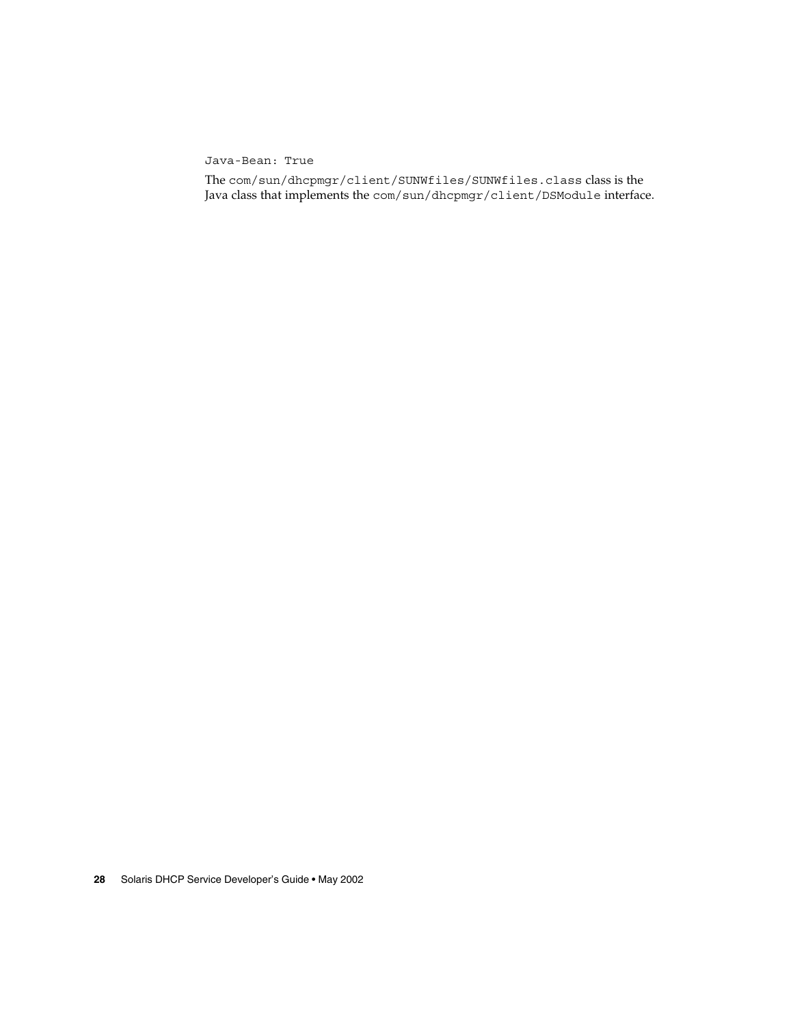Java-Bean: True

The com/sun/dhcpmgr/client/SUNWfiles/SUNWfiles.class class is the Java class that implements the com/sun/dhcpmgr/client/DSModule interface.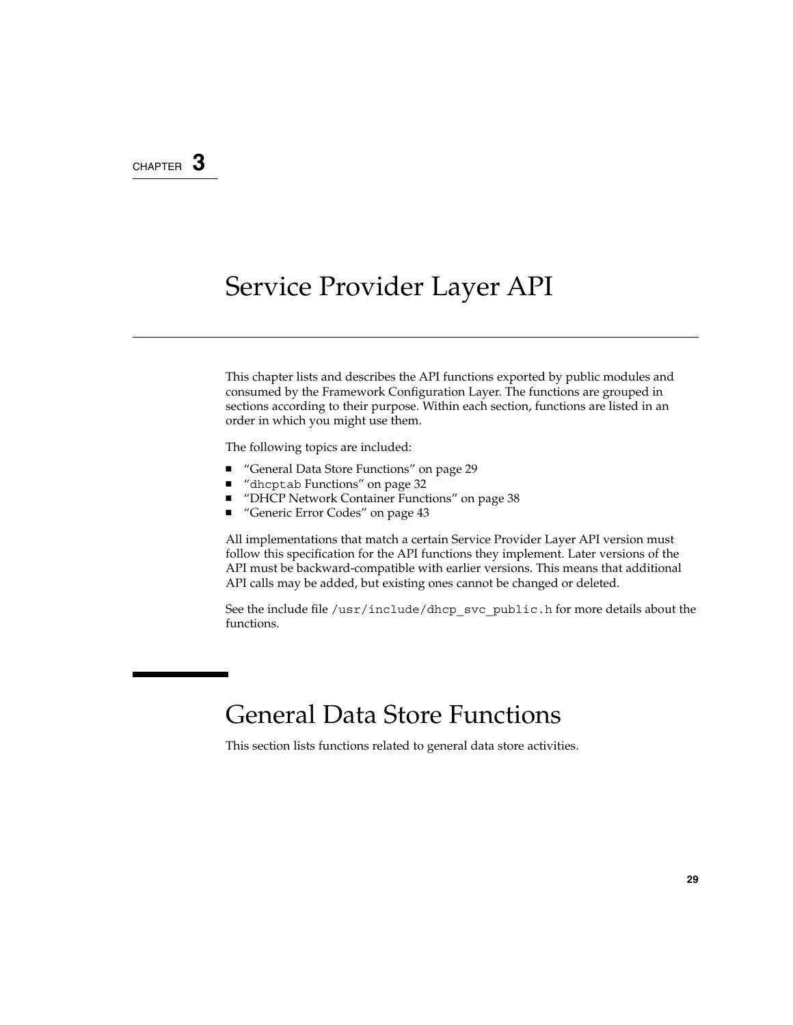## CHAPTER **3**

## Service Provider Layer API

This chapter lists and describes the API functions exported by public modules and consumed by the Framework Configuration Layer. The functions are grouped in sections according to their purpose. Within each section, functions are listed in an order in which you might use them.

The following topics are included:

- "General Data Store Functions" on page 29
- "dhcptab Functions" on page 32
- "DHCP Network Container Functions" on page 38
- "Generic Error Codes" on page 43

All implementations that match a certain Service Provider Layer API version must follow this specification for the API functions they implement. Later versions of the API must be backward-compatible with earlier versions. This means that additional API calls may be added, but existing ones cannot be changed or deleted.

See the include file /usr/include/dhcp\_svc\_public.h for more details about the functions.

## General Data Store Functions

This section lists functions related to general data store activities.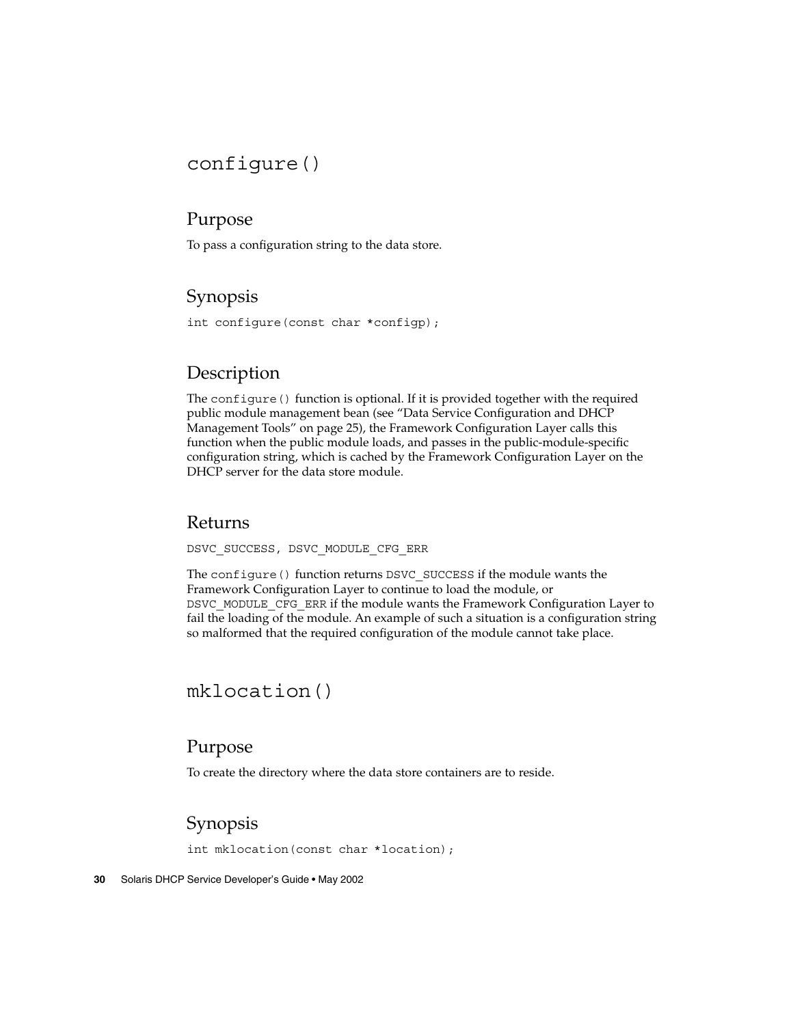## configure()

### Purpose

To pass a configuration string to the data store.

## Synopsis

int configure(const char \*configp);

## **Description**

The configure() function is optional. If it is provided together with the required public module management bean (see "Data Service Configuration and DHCP Management Tools" on page 25), the Framework Configuration Layer calls this function when the public module loads, and passes in the public-module-specific configuration string, which is cached by the Framework Configuration Layer on the DHCP server for the data store module.

#### Returns

DSVC\_SUCCESS, DSVC\_MODULE\_CFG\_ERR

The configure() function returns DSVC\_SUCCESS if the module wants the Framework Configuration Layer to continue to load the module, or DSVC\_MODULE\_CFG\_ERR if the module wants the Framework Configuration Layer to fail the loading of the module. An example of such a situation is a configuration string so malformed that the required configuration of the module cannot take place.

## mklocation()

#### Purpose

To create the directory where the data store containers are to reside.

## Synopsis

int mklocation(const char \*location);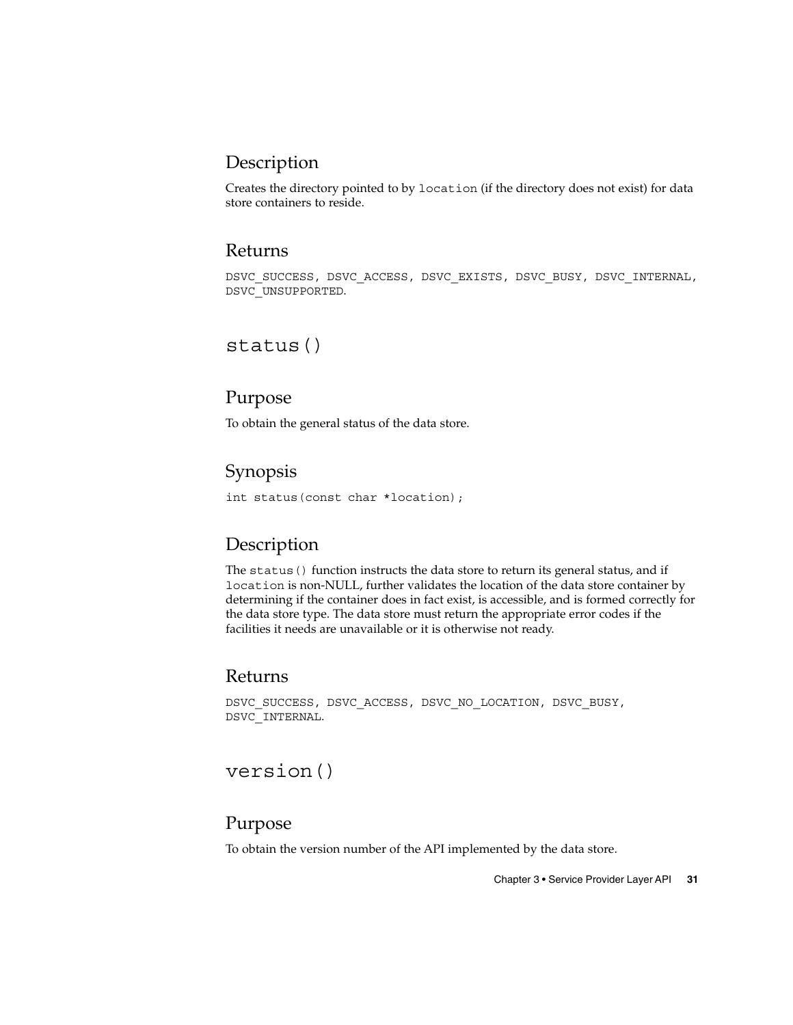## Description

Creates the directory pointed to by location (if the directory does not exist) for data store containers to reside.

#### Returns

DSVC\_SUCCESS, DSVC\_ACCESS, DSVC\_EXISTS, DSVC\_BUSY, DSVC\_INTERNAL, DSVC\_UNSUPPORTED.

## status()

#### Purpose

To obtain the general status of the data store.

### Synopsis

int status(const char \*location);

### Description

The status () function instructs the data store to return its general status, and if location is non-NULL, further validates the location of the data store container by determining if the container does in fact exist, is accessible, and is formed correctly for the data store type. The data store must return the appropriate error codes if the facilities it needs are unavailable or it is otherwise not ready.

#### Returns

```
DSVC_SUCCESS, DSVC_ACCESS, DSVC_NO_LOCATION, DSVC_BUSY,
DSVC_INTERNAL.
```
## version()

#### Purpose

To obtain the version number of the API implemented by the data store.

Chapter 3 • Service Provider Layer API **31**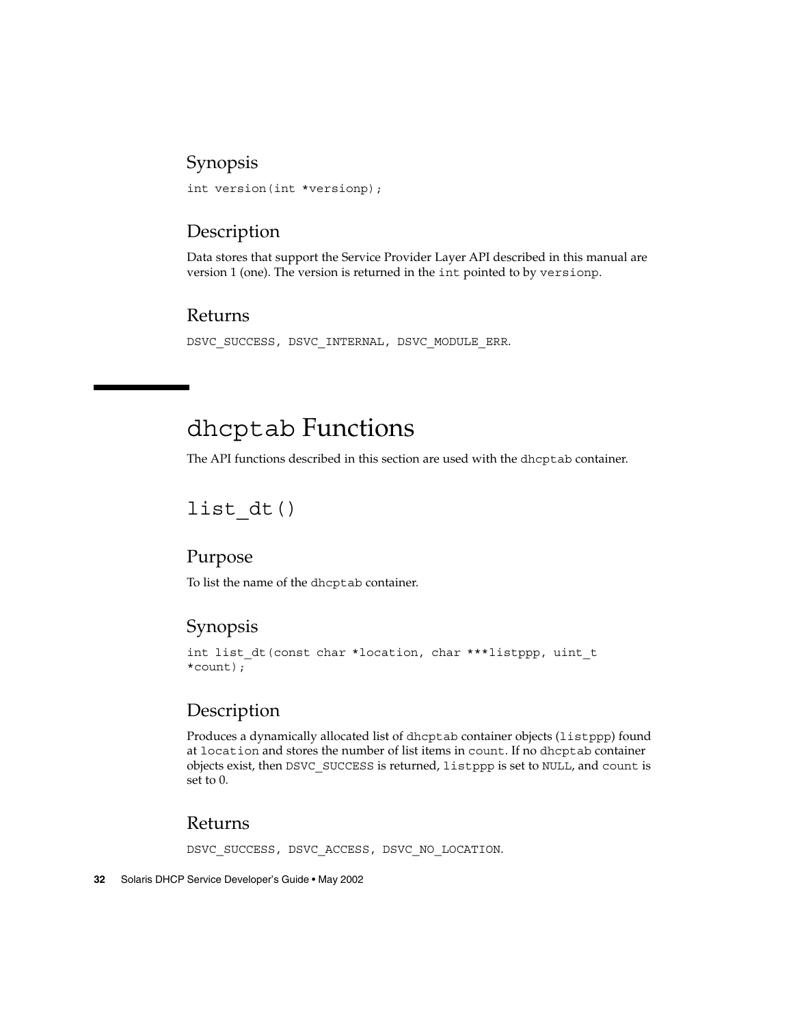### Synopsis

int version(int \*versionp);

## Description

Data stores that support the Service Provider Layer API described in this manual are version 1 (one). The version is returned in the int pointed to by versionp.

### Returns

```
DSVC_SUCCESS, DSVC_INTERNAL, DSVC_MODULE_ERR.
```
## dhcptab Functions

The API functions described in this section are used with the dhcptab container.

## list\_dt()

#### Purpose

To list the name of the dhcptab container.

## Synopsis

int list dt(const char \*location, char \*\*\*listppp, uint t \*count);

## **Description**

Produces a dynamically allocated list of dhcptab container objects (listppp) found at location and stores the number of list items in count. If no dhcptab container objects exist, then DSVC\_SUCCESS is returned, listppp is set to NULL, and count is set to 0.

#### Returns

DSVC SUCCESS, DSVC ACCESS, DSVC NO LOCATION.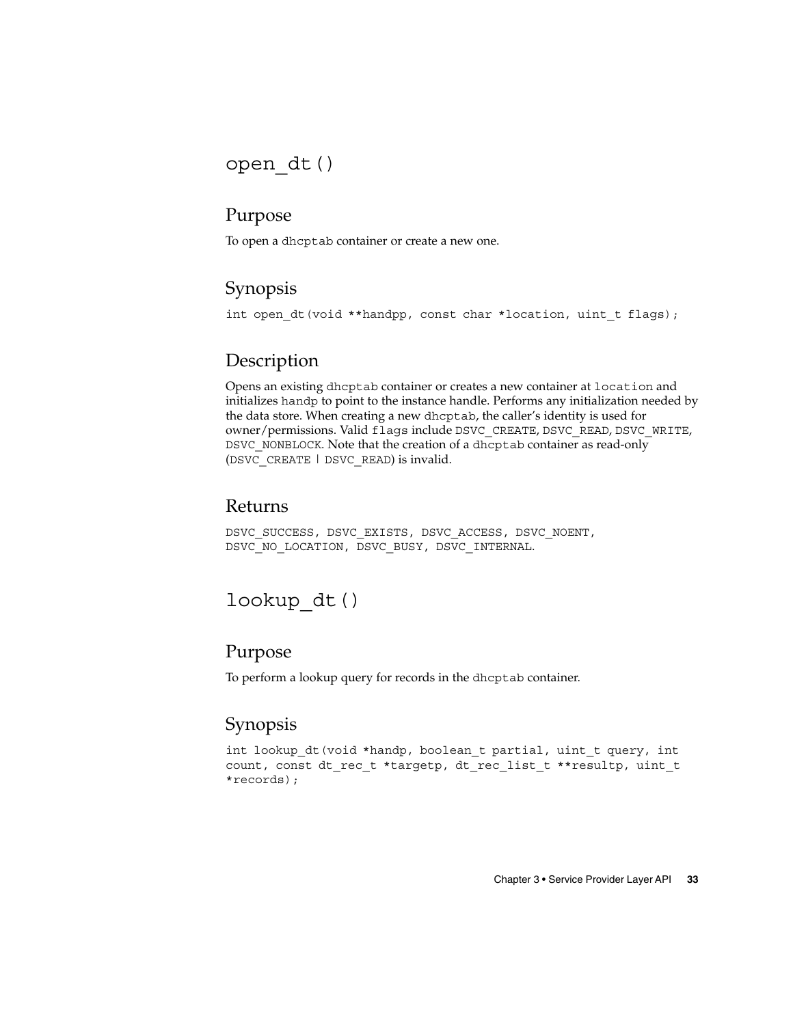## open\_dt()

#### Purpose

To open a dhcptab container or create a new one.

## Synopsis

int open dt(void \*\*handpp, const char \*location, uint t flags);

## Description

Opens an existing dhcptab container or creates a new container at location and initializes handp to point to the instance handle. Performs any initialization needed by the data store. When creating a new dhcptab, the caller's identity is used for owner/permissions. Valid flags include DSVC\_CREATE, DSVC\_READ, DSVC\_WRITE, DSVC\_NONBLOCK. Note that the creation of a dhcptab container as read-only (DSVC\_CREATE | DSVC\_READ) is invalid.

### Returns

DSVC\_SUCCESS, DSVC\_EXISTS, DSVC\_ACCESS, DSVC\_NOENT, DSVC\_NO\_LOCATION, DSVC\_BUSY, DSVC\_INTERNAL.

## lookup\_dt()

## Purpose

To perform a lookup query for records in the dhcptab container.

## Synopsis

int lookup dt(void \*handp, boolean t partial, uint t query, int count, const dt\_rec\_t \*targetp, dt\_rec\_list\_t \*\*resultp, uint\_t \*records);

Chapter 3 • Service Provider Layer API **33**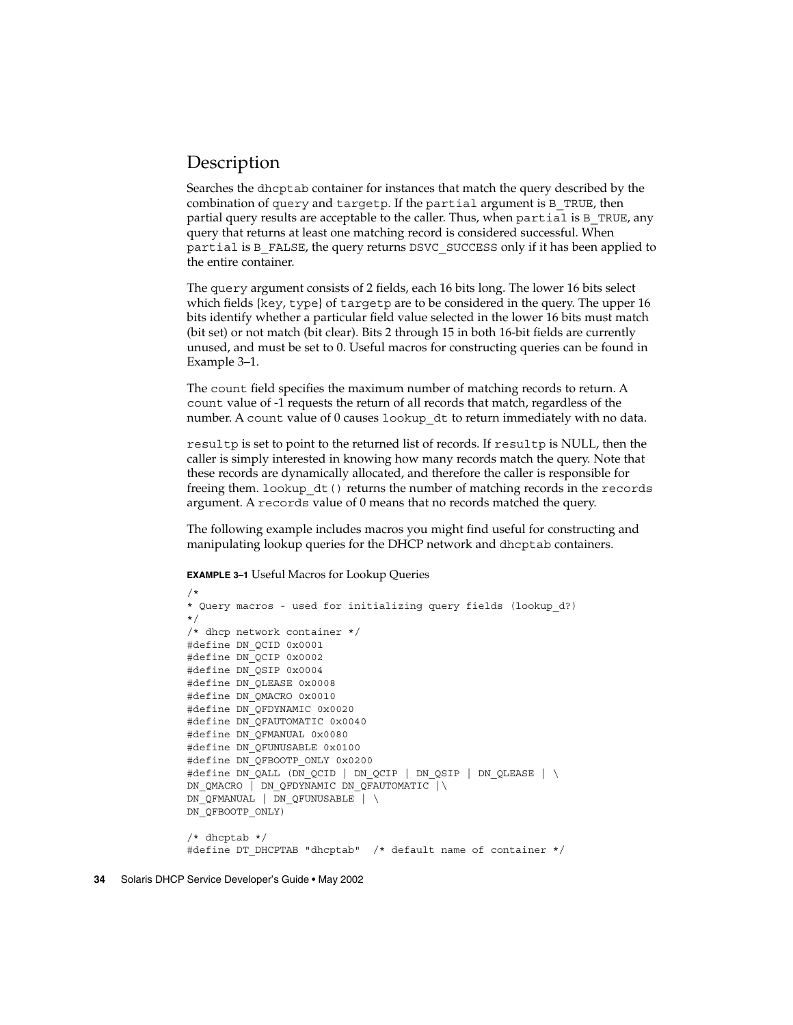### **Description**

Searches the dhcptab container for instances that match the query described by the combination of query and targetp. If the partial argument is B TRUE, then partial query results are acceptable to the caller. Thus, when partial is B\_TRUE, any query that returns at least one matching record is considered successful. When partial is B\_FALSE, the query returns DSVC\_SUCCESS only if it has been applied to the entire container.

The query argument consists of 2 fields, each 16 bits long. The lower 16 bits select which fields {key, type} of targetp are to be considered in the query. The upper 16 bits identify whether a particular field value selected in the lower 16 bits must match (bit set) or not match (bit clear). Bits 2 through 15 in both 16-bit fields are currently unused, and must be set to 0. Useful macros for constructing queries can be found in Example 3–1.

The count field specifies the maximum number of matching records to return. A count value of -1 requests the return of all records that match, regardless of the number. A count value of 0 causes lookup\_dt to return immediately with no data.

resultp is set to point to the returned list of records. If resultp is NULL, then the caller is simply interested in knowing how many records match the query. Note that these records are dynamically allocated, and therefore the caller is responsible for freeing them. lookup\_dt() returns the number of matching records in the records argument. A records value of 0 means that no records matched the query.

The following example includes macros you might find useful for constructing and manipulating lookup queries for the DHCP network and dhcptab containers.

**EXAMPLE 3–1** Useful Macros for Lookup Queries

```
/*
* Query macros - used for initializing query fields (lookup_d?)
*/
/* dhcp network container */
#define DN_QCID 0x0001
#define DN_QCIP 0x0002
#define DN_QSIP 0x0004
#define DN_QLEASE 0x0008
#define DN_QMACRO 0x0010
#define DN_QFDYNAMIC 0x0020
#define DN_QFAUTOMATIC 0x0040
#define DN_QFMANUAL 0x0080
#define DN_QFUNUSABLE 0x0100
#define DN_QFBOOTP_ONLY 0x0200
#define DN_QALL (DN_QCID | DN_QCIP | DN_QSIP | DN_QLEASE | \
DN_QMACRO | DN_QFDYNAMIC DN_QFAUTOMATIC |\
DN_QFMANUAL | DN_QFUNUSABLE | \
DN_QFBOOTP_ONLY)
/* dhcptab */
#define DT DHCPTAB "dhcptab" /* default name of container */
```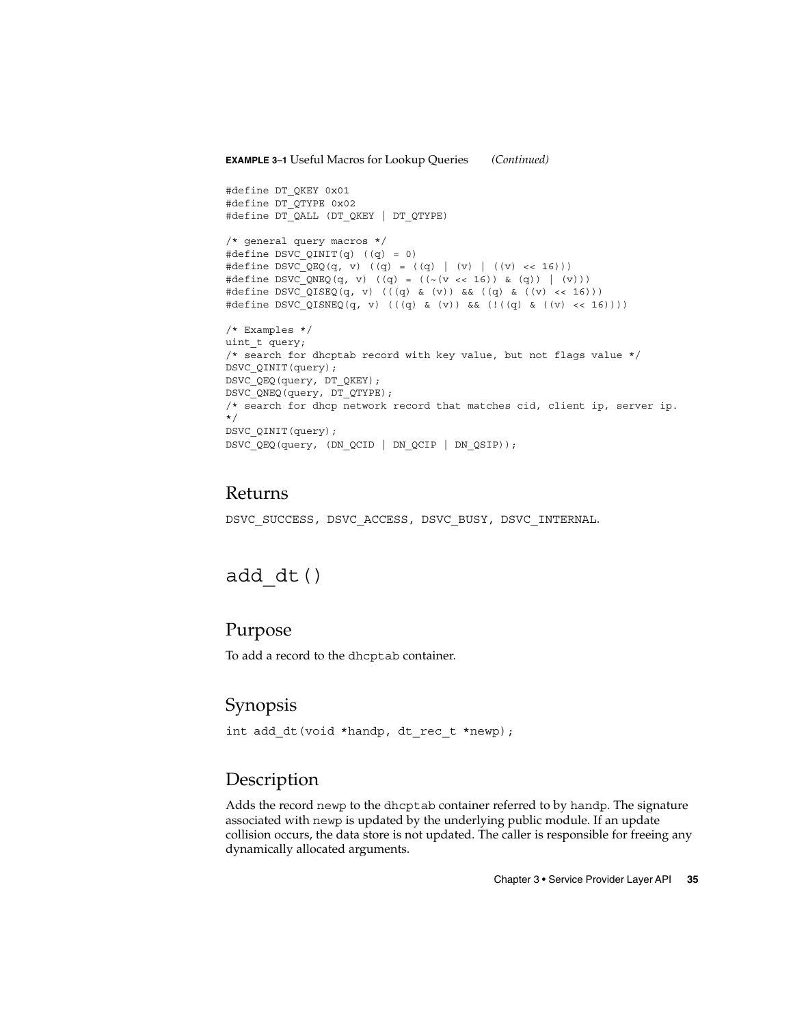#### **EXAMPLE 3–1** Useful Macros for Lookup Queries *(Continued)*

```
#define DT_QKEY 0x01
#define DT_QTYPE 0x02
#define DT_QALL (DT_QKEY | DT_QTYPE)
/* general query macros */
#define DSVC_QINIT(q) ((q) = 0)
#define DSVC QEQ(q, v) ((q) = ((q) | (v) | ((v) << 16)))
#define DSVC_QNEQ(q, v) ((q) = ((~(v << 16)) & (q)) | (v)))
#define DSVC_QISEQ(q, v) (((q) & (v)) && ((q) & ((v) << 16)))
#define DSVC_QISNEQ(q, v) (((q) & (v)) && (!((q) & ((v) << 16))))
/* Examples */
uint t query;
/* search for dhcptab record with key value, but not flags value */
DSVC_QINIT(query);
DSVC_QEQ(query, DT_QKEY);
DSVC_QNEQ(query, DT_QTYPE);
/* search for dhcp network record that matches cid, client ip, server ip.
*/
DSVC_QINIT(query);
DSVC_QEQ(query, (DN_QCID | DN_QCIP | DN_QSIP));
```
#### Returns

DSVC SUCCESS, DSVC ACCESS, DSVC BUSY, DSVC INTERNAL.

## add\_dt()

#### Purpose

To add a record to the dhcptab container.

#### Synopsis

```
int add dt(void *handp, dt rec t *newp);
```
#### Description

Adds the record newp to the dhcptab container referred to by handp. The signature associated with newp is updated by the underlying public module. If an update collision occurs, the data store is not updated. The caller is responsible for freeing any dynamically allocated arguments.

Chapter 3 • Service Provider Layer API **35**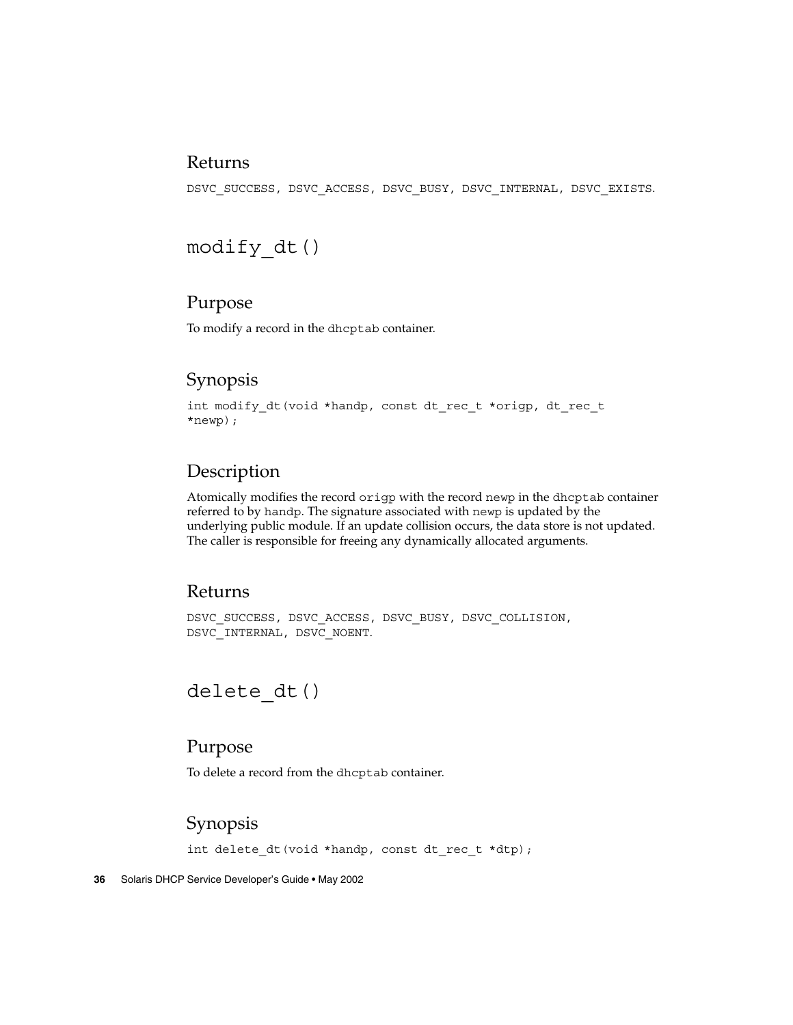#### Returns

DSVC\_SUCCESS, DSVC\_ACCESS, DSVC\_BUSY, DSVC\_INTERNAL, DSVC\_EXISTS.

## modify\_dt()

## Purpose

To modify a record in the dhcptab container.

### Synopsis

```
int modify_dt(void *handp, const dt_rec_t *origp, dt rec t
*newp);
```
### Description

Atomically modifies the record origp with the record newp in the dhcptab container referred to by handp. The signature associated with newp is updated by the underlying public module. If an update collision occurs, the data store is not updated. The caller is responsible for freeing any dynamically allocated arguments.

#### Returns

DSVC\_SUCCESS, DSVC\_ACCESS, DSVC\_BUSY, DSVC\_COLLISION, DSVC\_INTERNAL, DSVC\_NOENT.

## delete dt()

### Purpose

To delete a record from the dhcptab container.

## Synopsis

int delete dt (void \*handp, const dt rec t \*dtp);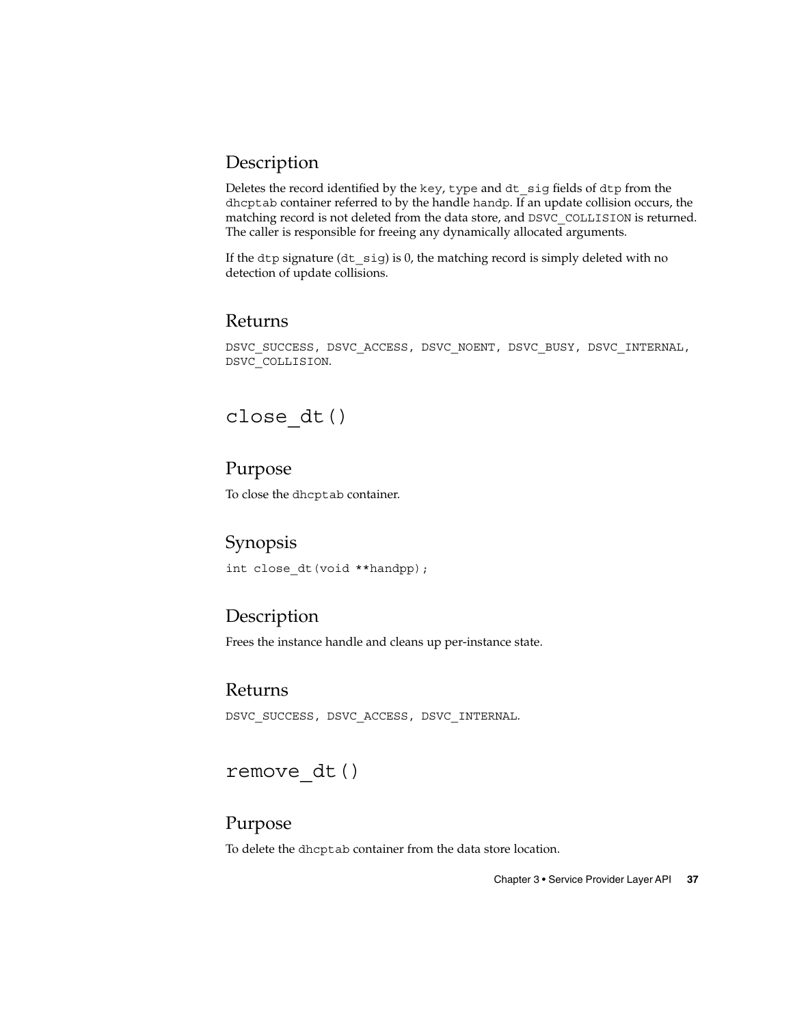## Description

Deletes the record identified by the key, type and dt\_sig fields of dtp from the dhcptab container referred to by the handle handp. If an update collision occurs, the matching record is not deleted from the data store, and DSVC\_COLLISION is returned. The caller is responsible for freeing any dynamically allocated arguments.

If the dtp signature (dt  $sig$ ) is 0, the matching record is simply deleted with no detection of update collisions.

#### Returns

DSVC\_SUCCESS, DSVC\_ACCESS, DSVC\_NOENT, DSVC\_BUSY, DSVC\_INTERNAL, DSVC\_COLLISION.

## close\_dt()

### Purpose

To close the dhcptab container.

## Synopsis

int close\_dt(void \*\*handpp);

## **Description**

Frees the instance handle and cleans up per-instance state.

#### Returns

DSVC\_SUCCESS, DSVC\_ACCESS, DSVC\_INTERNAL.

## remove\_dt()

#### Purpose

To delete the dhcptab container from the data store location.

Chapter 3 • Service Provider Layer API **37**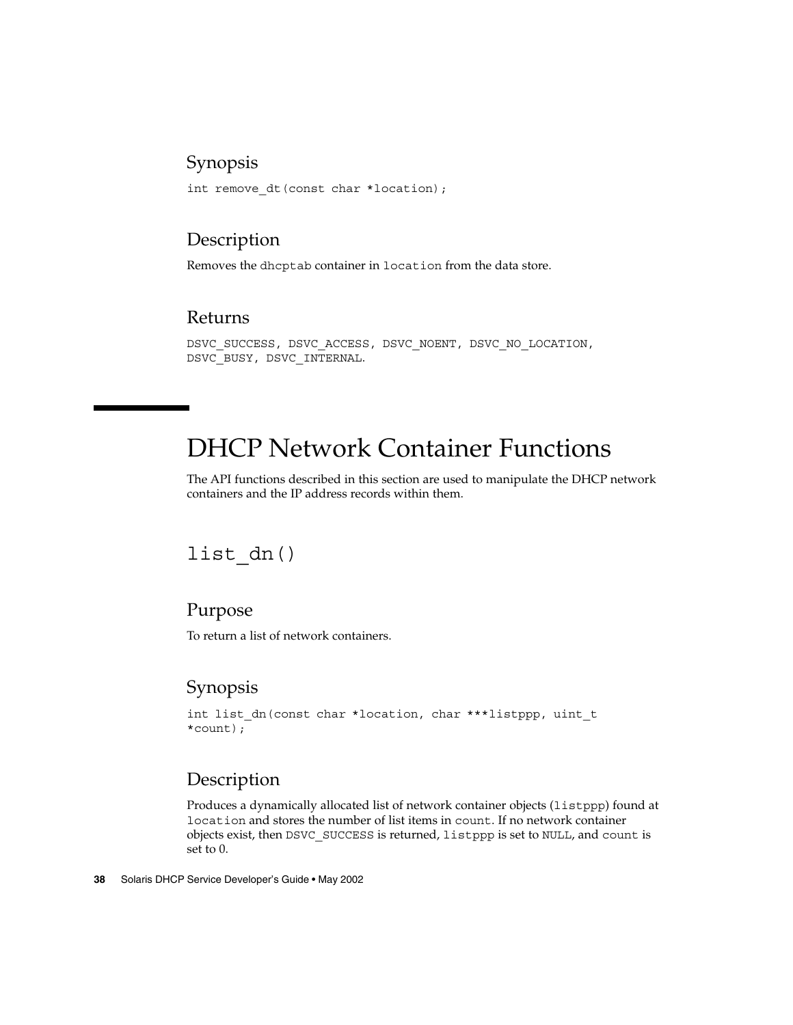#### Synopsis

int remove\_dt(const char \*location);

### Description

Removes the dhcptab container in location from the data store.

#### Returns

DSVC\_SUCCESS, DSVC\_ACCESS, DSVC\_NOENT, DSVC\_NO\_LOCATION, DSVC\_BUSY, DSVC\_INTERNAL.

# DHCP Network Container Functions

The API functions described in this section are used to manipulate the DHCP network containers and the IP address records within them.

## list\_dn()

### Purpose

To return a list of network containers.

## Synopsis

```
int list dn(const char *location, char ***listppp, uint t
*count);
```
### Description

Produces a dynamically allocated list of network container objects (listppp) found at location and stores the number of list items in count. If no network container objects exist, then DSVC\_SUCCESS is returned, listppp is set to NULL, and count is set to 0.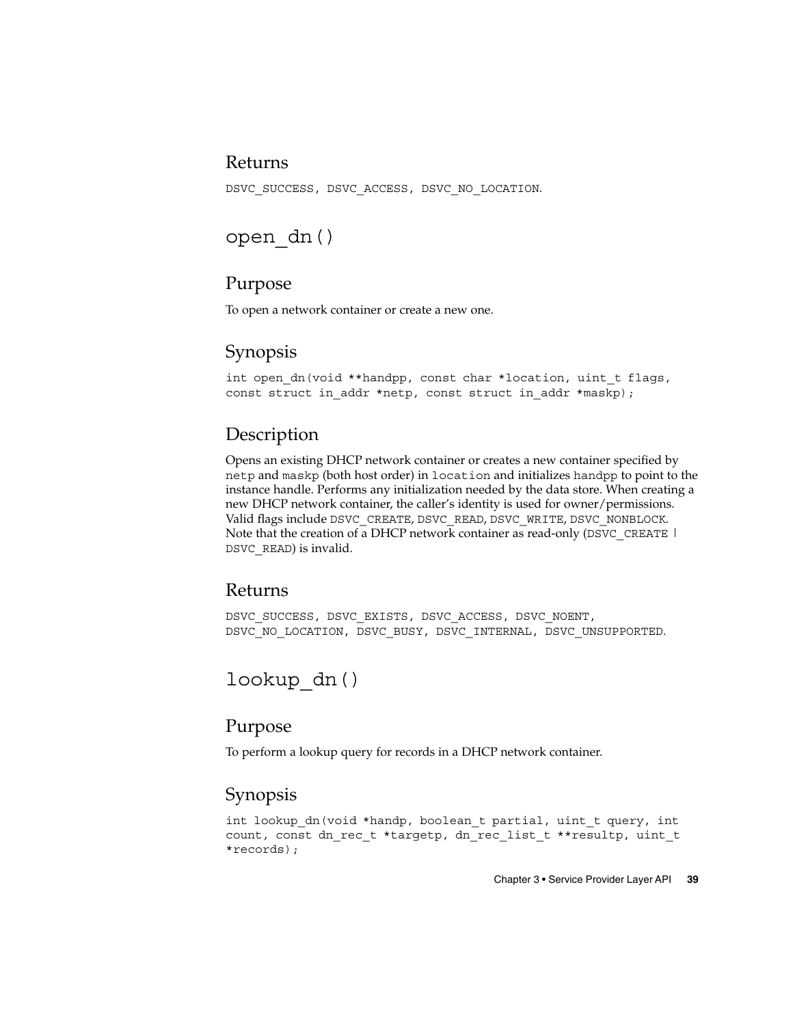#### Returns

DSVC SUCCESS, DSVC ACCESS, DSVC NO LOCATION.

## open\_dn()

### Purpose

To open a network container or create a new one.

## Synopsis

int open dn(void \*\*handpp, const char \*location, uint t flags, const struct in addr \*netp, const struct in addr \*maskp);

## Description

Opens an existing DHCP network container or creates a new container specified by netp and maskp (both host order) in location and initializes handpp to point to the instance handle. Performs any initialization needed by the data store. When creating a new DHCP network container, the caller's identity is used for owner/permissions. Valid flags include DSVC\_CREATE, DSVC\_READ, DSVC\_WRITE, DSVC\_NONBLOCK. Note that the creation of a DHCP network container as read-only (DSVC\_CREATE | DSVC\_READ) is invalid.

#### Returns

DSVC\_SUCCESS, DSVC\_EXISTS, DSVC\_ACCESS, DSVC\_NOENT, DSVC\_NO\_LOCATION, DSVC\_BUSY, DSVC\_INTERNAL, DSVC\_UNSUPPORTED.

## lookup\_dn()

## Purpose

To perform a lookup query for records in a DHCP network container.

## Synopsis

int lookup dn(void \*handp, boolean t partial, uint t query, int count, const dn\_rec\_t \*targetp, dn\_rec\_list\_t \*\*resultp, uint\_t \*records);

Chapter 3 • Service Provider Layer API **39**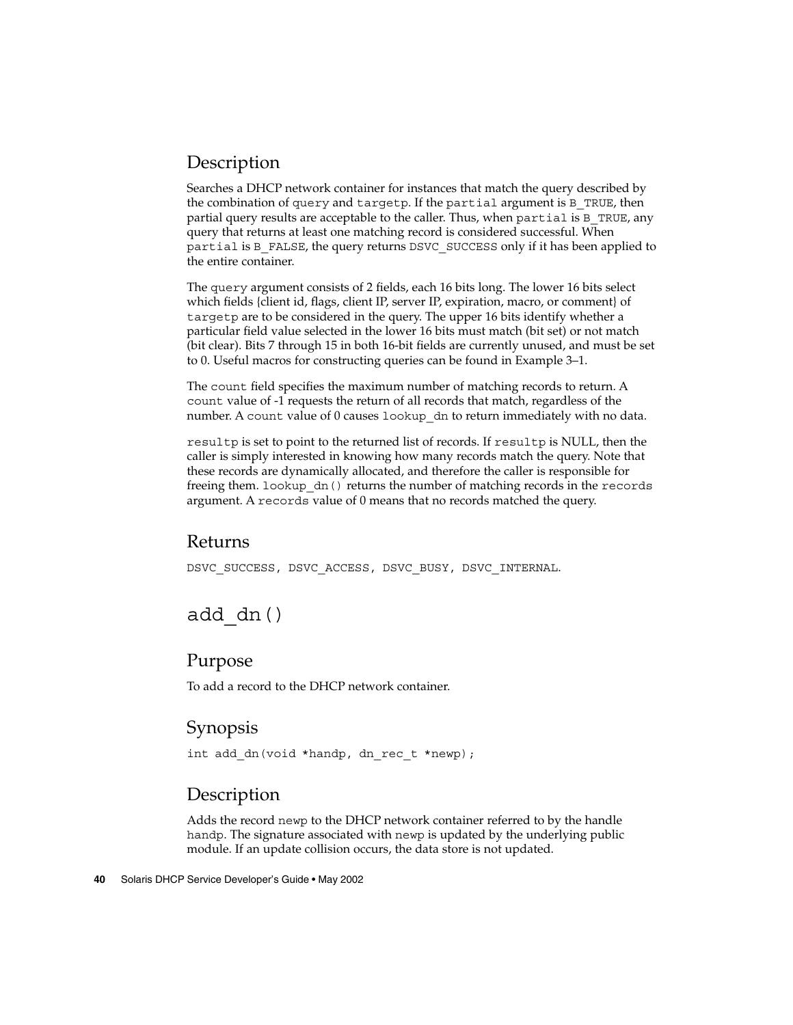## Description

Searches a DHCP network container for instances that match the query described by the combination of query and targetp. If the partial argument is B\_TRUE, then partial query results are acceptable to the caller. Thus, when partial is B\_TRUE, any query that returns at least one matching record is considered successful. When partial is B\_FALSE, the query returns DSVC\_SUCCESS only if it has been applied to the entire container.

The query argument consists of 2 fields, each 16 bits long. The lower 16 bits select which fields {client id, flags, client IP, server IP, expiration, macro, or comment} of targetp are to be considered in the query. The upper 16 bits identify whether a particular field value selected in the lower 16 bits must match (bit set) or not match (bit clear). Bits 7 through 15 in both 16-bit fields are currently unused, and must be set to 0. Useful macros for constructing queries can be found in Example 3–1.

The count field specifies the maximum number of matching records to return. A count value of -1 requests the return of all records that match, regardless of the number. A count value of 0 causes lookup dn to return immediately with no data.

resultp is set to point to the returned list of records. If resultp is NULL, then the caller is simply interested in knowing how many records match the query. Note that these records are dynamically allocated, and therefore the caller is responsible for freeing them. lookup\_dn() returns the number of matching records in the records argument. A records value of 0 means that no records matched the query.

#### Returns

DSVC SUCCESS, DSVC ACCESS, DSVC BUSY, DSVC INTERNAL.

## add\_dn()

#### Purpose

To add a record to the DHCP network container.

## Synopsis

int add dn(void \*handp, dn rec t \*newp);

## Description

Adds the record newp to the DHCP network container referred to by the handle handp. The signature associated with newp is updated by the underlying public module. If an update collision occurs, the data store is not updated.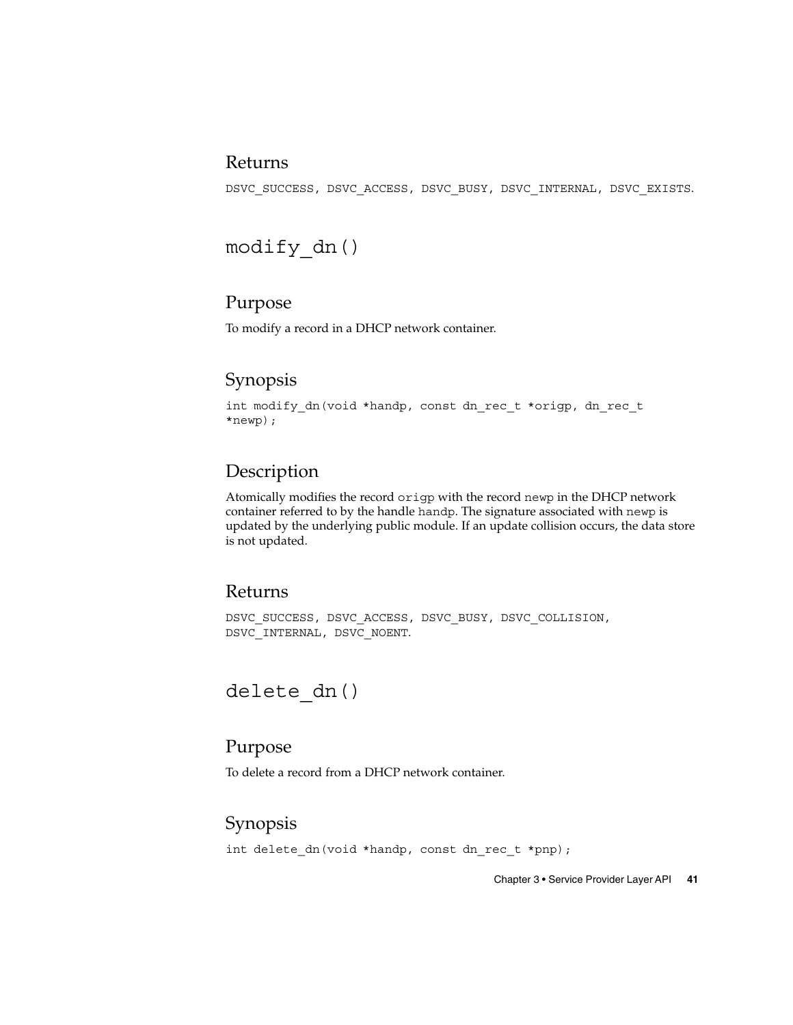#### Returns

DSVC\_SUCCESS, DSVC\_ACCESS, DSVC\_BUSY, DSVC\_INTERNAL, DSVC\_EXISTS.

modify\_dn()

### Purpose

To modify a record in a DHCP network container.

## Synopsis

int modify\_dn(void \*handp, const dn\_rec\_t \*origp, dn\_rec\_t \*newp);

## Description

Atomically modifies the record origp with the record newp in the DHCP network container referred to by the handle handp. The signature associated with newp is updated by the underlying public module. If an update collision occurs, the data store is not updated.

#### Returns

DSVC\_SUCCESS, DSVC\_ACCESS, DSVC\_BUSY, DSVC\_COLLISION, DSVC\_INTERNAL, DSVC\_NOENT.

## delete dn()

### Purpose

To delete a record from a DHCP network container.

## Synopsis

int delete dn(void \*handp, const dn rec t \*pnp);

Chapter 3 • Service Provider Layer API **41**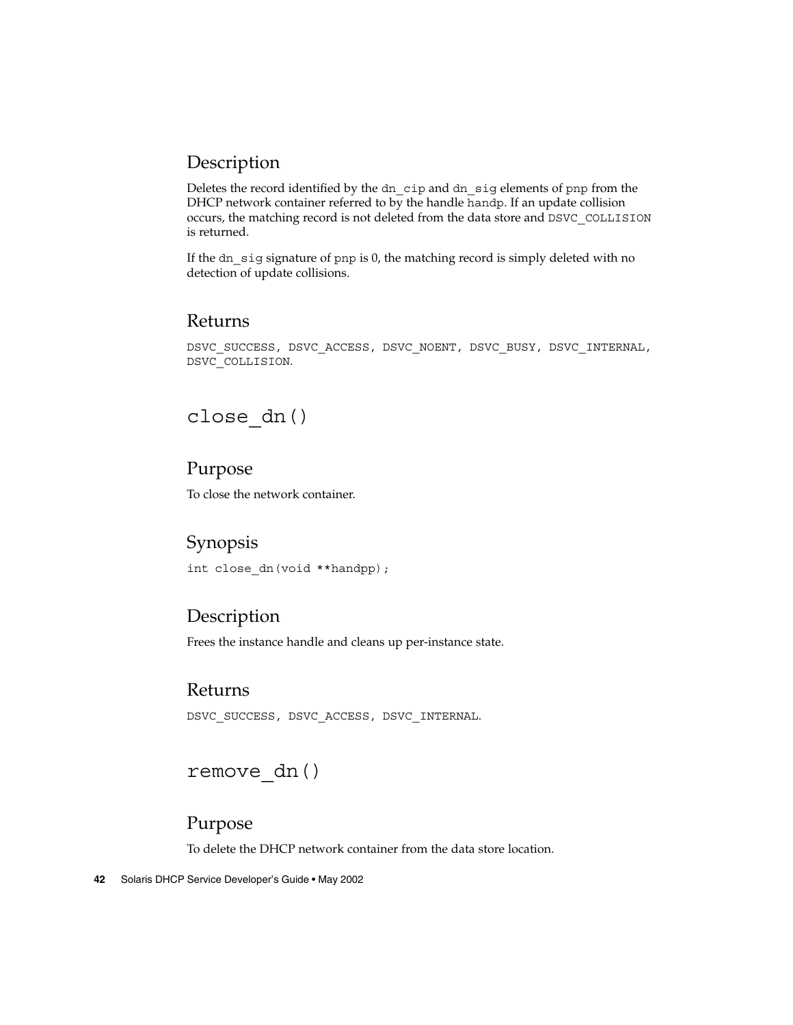## Description

Deletes the record identified by the dn\_cip and dn\_sig elements of pnp from the DHCP network container referred to by the handle handp. If an update collision occurs, the matching record is not deleted from the data store and DSVC\_COLLISION is returned.

If the dn sig signature of pnp is 0, the matching record is simply deleted with no detection of update collisions.

#### Returns

DSVC\_SUCCESS, DSVC\_ACCESS, DSVC\_NOENT, DSVC\_BUSY, DSVC\_INTERNAL, DSVC\_COLLISION.

## close\_dn()

## Purpose

To close the network container.

## Synopsis

int close\_dn(void \*\*handpp);

## Description

Frees the instance handle and cleans up per-instance state.

## Returns

DSVC\_SUCCESS, DSVC\_ACCESS, DSVC\_INTERNAL.

## remove\_dn()

#### Purpose

To delete the DHCP network container from the data store location.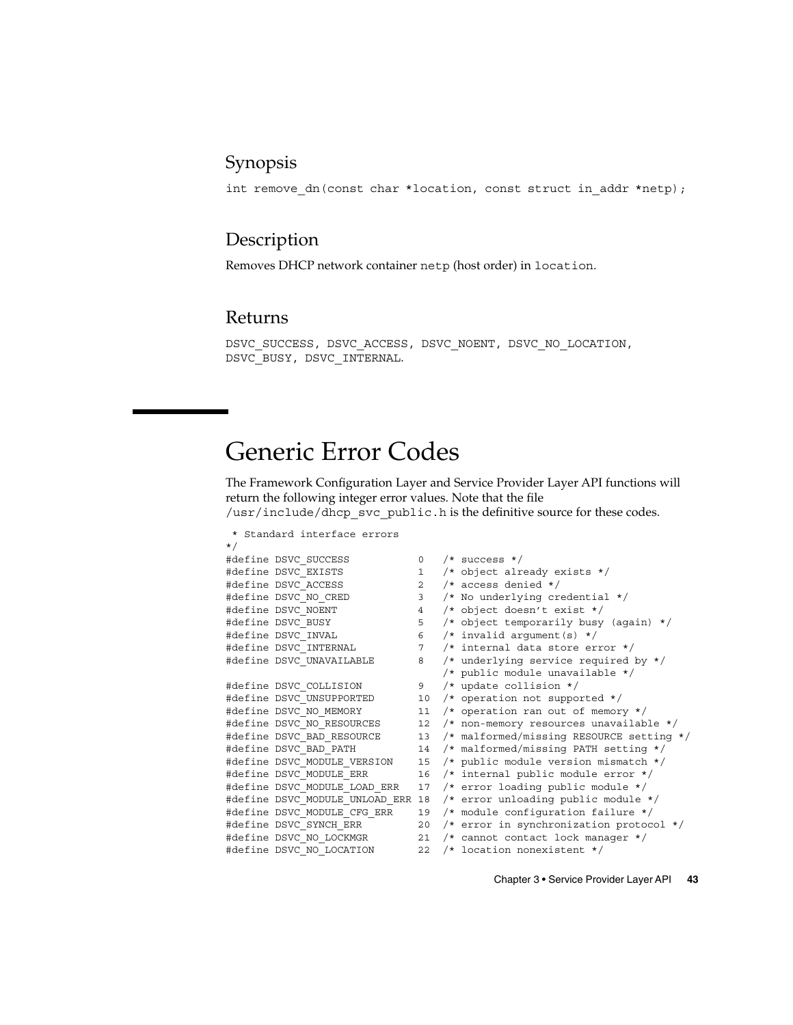## Synopsis

int remove\_dn(const char \*location, const struct in\_addr \*netp);

## Description

Removes DHCP network container netp (host order) in location.

#### Returns

DSVC\_SUCCESS, DSVC\_ACCESS, DSVC\_NOENT, DSVC\_NO\_LOCATION, DSVC\_BUSY, DSVC\_INTERNAL.

## Generic Error Codes

The Framework Configuration Layer and Service Provider Layer API functions will return the following integer error values. Note that the file /usr/include/dhcp\_svc\_public.h is the definitive source for these codes.

|          | * Standard interface errors       |                |                                            |
|----------|-----------------------------------|----------------|--------------------------------------------|
| $\star/$ |                                   |                |                                            |
|          | #define DSVC SUCCESS              | 0              | $/*$ success $*/$                          |
|          | #define DSVC EXISTS               | $\mathbf{1}$   | /* object already exists $*/$              |
|          | #define DSVC ACCESS               | $\overline{2}$ | $/*$ access denied $*/$                    |
|          | #define DSVC NO CRED              | 3              | /* No underlying credential */             |
|          | #define DSVC NOENT                | $\overline{4}$ | /* object doesn't exist $*/$               |
|          | #define DSVC BUSY                 | 5              | /* object temporarily busy (again) */      |
|          | #define DSVC INVAL                | 6              | /* invalid argument(s) $*/$                |
|          | #define DSVC INTERNAL             | $7^{\circ}$    | $/*$ internal data store error $*/$        |
|          | #define DSVC UNAVAILABLE          | 8              | /* underlying service required by $*/$     |
|          |                                   |                | /* public module unavailable */            |
|          | #define DSVC COLLISION            | 9              | $/*$ update collision $*/$                 |
|          | #define DSVC UNSUPPORTED          |                | 10 /* operation not supported */           |
|          | #define DSVC NO MEMORY            | 11             | /* operation ran out of memory */          |
|          | #define DSVC NO RESOURCES         | 12             | $/*$ non-memory resources unavailable */   |
|          | #define DSVC BAD RESOURCE         | 13             | /* malformed/missing RESOURCE setting */   |
|          | #define DSVC BAD PATH             | 14             | /* malformed/missing PATH setting */       |
|          | #define DSVC MODULE VERSION       | 15             | /* public module version mismatch */       |
|          | #define DSVC MODULE ERR           | 16             | /* internal public module error */         |
|          | #define DSVC MODULE LOAD ERR      | 17             | /* error loading public module */          |
|          | #define DSVC MODULE UNLOAD ERR 18 |                | /* error unloading public module */        |
|          | #define DSVC MODULE CFG ERR       |                | 19 /* module configuration failure */      |
|          | #define DSVC SYNCH ERR            |                | 20 /* error in synchronization protocol */ |
|          | #define DSVC NO LOCKMGR           | 21             | /* cannot contact lock manager */          |
|          | #define DSVC NO LOCATION          | 22             | /* location nonexistent */                 |

Chapter 3 • Service Provider Layer API **43**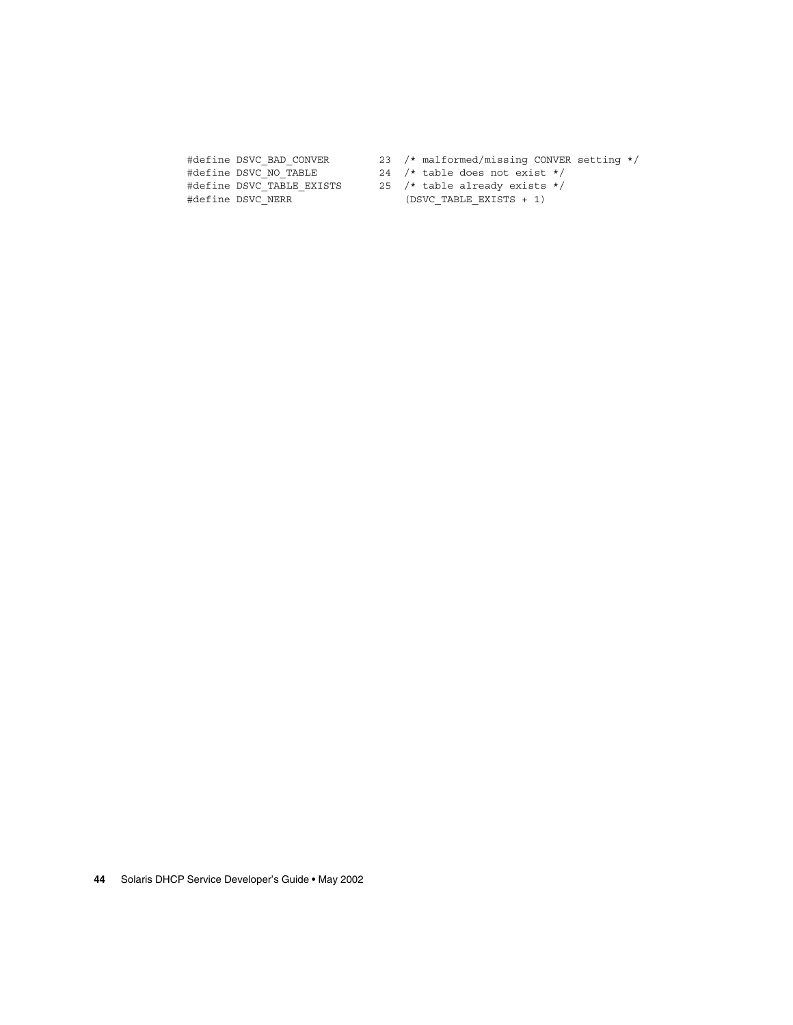#define DSVC NO TABLE 24 /\* table does not exist \*/ #define DSVC TABLE EXISTS 25 /\* table already exists \*/

- #define DSVC BAD CONVER 23 /\* malformed/missing CONVER setting \*/
	-
- #define DSVC NERR (DSVC TABLE EXISTS + 1)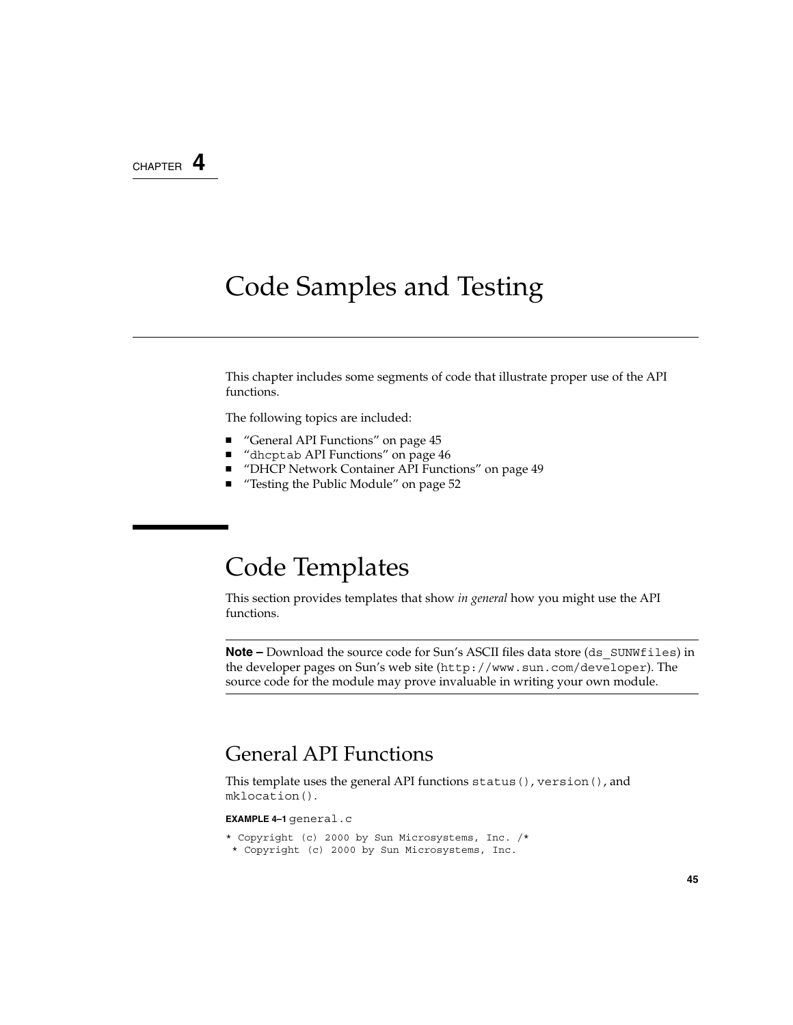## CHAPTER **4**

## Code Samples and Testing

This chapter includes some segments of code that illustrate proper use of the API functions.

The following topics are included:

- "General API Functions" on page 45
- "dhcptab API Functions" on page 46
- "DHCP Network Container API Functions" on page 49
- "Testing the Public Module" on page 52

## Code Templates

This section provides templates that show *in general* how you might use the API functions.

**Note** – Download the source code for Sun's ASCII files data store (ds\_SUNWfiles) in the developer pages on Sun's web site (http://www.sun.com/developer). The source code for the module may prove invaluable in writing your own module.

## General API Functions

This template uses the general API functions status(), version(), and mklocation().

#### **EXAMPLE 4–1** general.c

```
* Copyright (c) 2000 by Sun Microsystems, Inc. /*
* Copyright (c) 2000 by Sun Microsystems, Inc.
```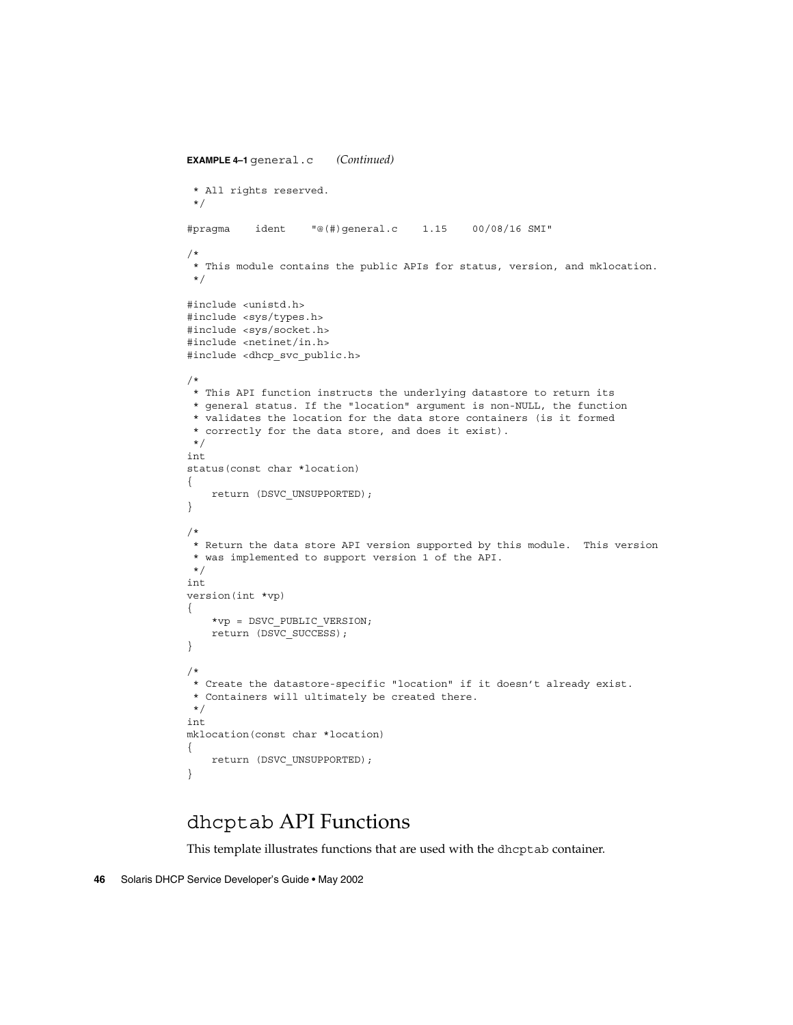```
EXAMPLE 4–1 general.c (Continued)
 * All rights reserved.
 */
#pragma ident "@(#)general.c 1.15 00/08/16 SMI"
/*
 * This module contains the public APIs for status, version, and mklocation.
 */
#include <unistd.h>
#include <sys/types.h>
#include <sys/socket.h>
#include <netinet/in.h>
#include <dhcp svc public.h>
/*
* This API function instructs the underlying datastore to return its
* general status. If the "location" argument is non-NULL, the function
 * validates the location for the data store containers (is it formed
 * correctly for the data store, and does it exist).
 */
int
status(const char *location)
{
   return (DSVC_UNSUPPORTED);
}
/*
* Return the data store API version supported by this module. This version
 * was implemented to support version 1 of the API.
*/
int
version(int *vp)
{
    *vp = DSVC_PUBLIC_VERSION;
   return (DSVC_SUCCESS);
}
/*
* Create the datastore-specific "location" if it doesn't already exist.
 * Containers will ultimately be created there.
*/
int
mklocation(const char *location)
{
    return (DSVC_UNSUPPORTED);
}
```
## dhcptab API Functions

This template illustrates functions that are used with the dhcptab container.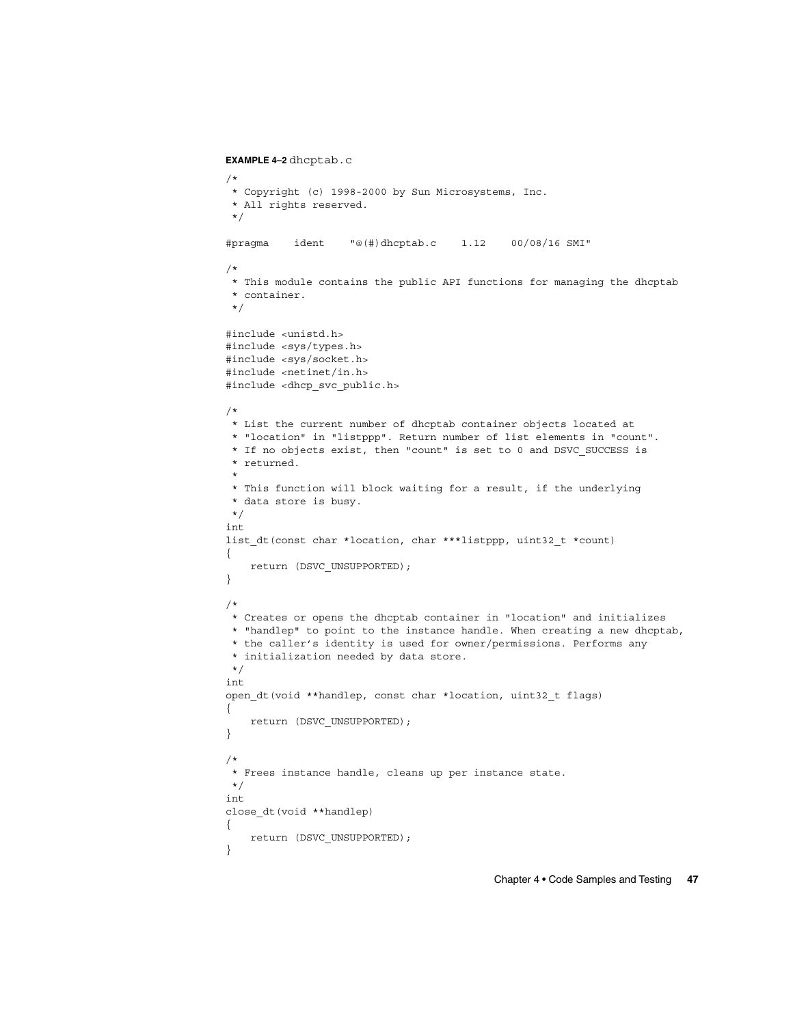```
EXAMPLE 4–2 dhcptab.c
/*
* Copyright (c) 1998-2000 by Sun Microsystems, Inc.
* All rights reserved.
*/
#pragma ident "@(#)dhcptab.c 1.12 00/08/16 SMI"
/*
* This module contains the public API functions for managing the dhcptab
* container.
*/
#include <unistd.h>
#include <sys/types.h>
#include <sys/socket.h>
#include <netinet/in.h>
#include <dhcp_svc_public.h>
/*
* List the current number of dhcptab container objects located at
* "location" in "listppp". Return number of list elements in "count".
* If no objects exist, then "count" is set to 0 and DSVC_SUCCESS is
 * returned.
 *
* This function will block waiting for a result, if the underlying
* data store is busy.
*/
int
list dt(const char *location, char ***listppp, uint32 t *count)
{
   return (DSVC_UNSUPPORTED);
}
/*
* Creates or opens the dhcptab container in "location" and initializes
* "handlep" to point to the instance handle. When creating a new dhcptab,
* the caller's identity is used for owner/permissions. Performs any
* initialization needed by data store.
*/
int
open_dt(void **handlep, const char *location, uint32_t flags)
{
   return (DSVC_UNSUPPORTED);
}
/*
 * Frees instance handle, cleans up per instance state.
*/
int
close_dt(void **handlep)
{
   return (DSVC_UNSUPPORTED);
}
```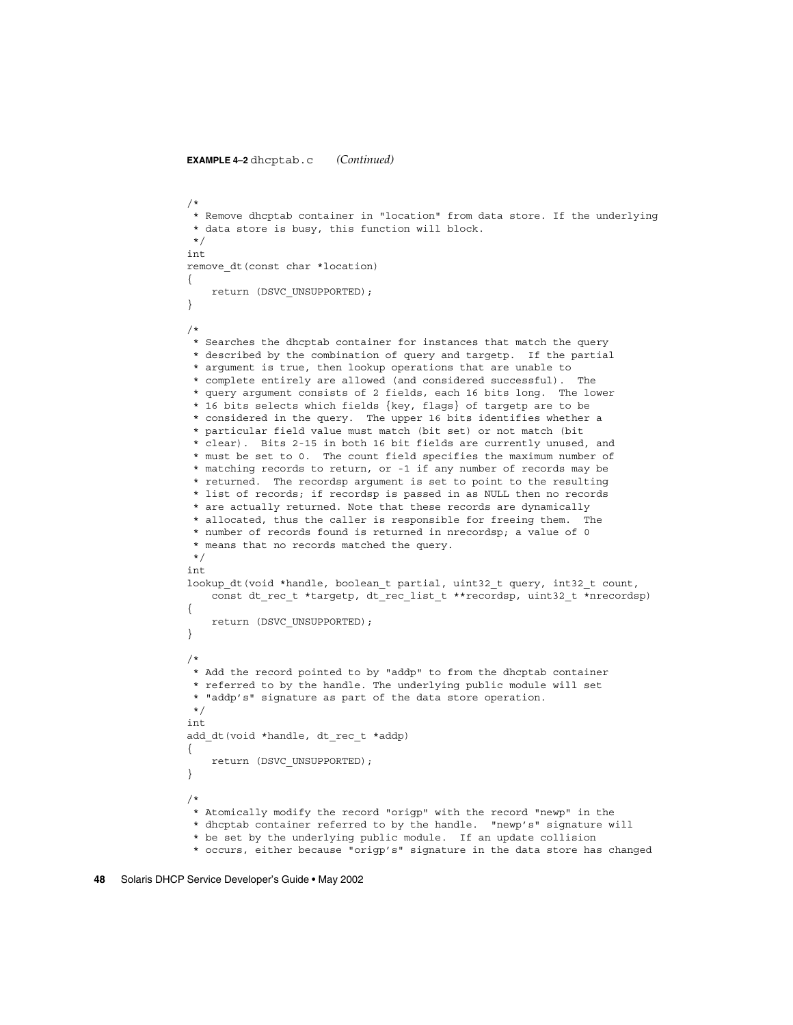```
EXAMPLE 4–2 dhcptab.c (Continued)
```

```
/*
 * Remove dhcptab container in "location" from data store. If the underlying
 * data store is busy, this function will block.
*/
int
remove dt (const char *location)
{
   return (DSVC_UNSUPPORTED);
}
/*
* Searches the dhcptab container for instances that match the query
 * described by the combination of query and targetp. If the partial
 * argument is true, then lookup operations that are unable to
 * complete entirely are allowed (and considered successful). The
 * query argument consists of 2 fields, each 16 bits long. The lower
 * 16 bits selects which fields {key, flags} of targetp are to be
 * considered in the query. The upper 16 bits identifies whether a
 * particular field value must match (bit set) or not match (bit
 * clear). Bits 2-15 in both 16 bit fields are currently unused, and
 * must be set to 0. The count field specifies the maximum number of
 * matching records to return, or -1 if any number of records may be
 * returned. The recordsp argument is set to point to the resulting
 * list of records; if recordsp is passed in as NULL then no records
 * are actually returned. Note that these records are dynamically
 * allocated, thus the caller is responsible for freeing them. The
 * number of records found is returned in nrecordsp; a value of 0
 * means that no records matched the query.
*/
int
lookup_dt(void *handle, boolean_t partial, uint32_t query, int32_t count,
    const dt rec t *targetp, dt rec list t **recordsp, uint32 t *nrecordsp)
{
    return (DSVC_UNSUPPORTED);
}
/*
* Add the record pointed to by "addp" to from the dhcptab container
* referred to by the handle. The underlying public module will set
 * "addp's" signature as part of the data store operation.
 */
int
add dt(void *handle, dt rec t *addp)
{
   return (DSVC_UNSUPPORTED);
}
/*
 * Atomically modify the record "origp" with the record "newp" in the
 * dhcptab container referred to by the handle. "newp's" signature will
 * be set by the underlying public module. If an update collision
 * occurs, either because "origp's" signature in the data store has changed
```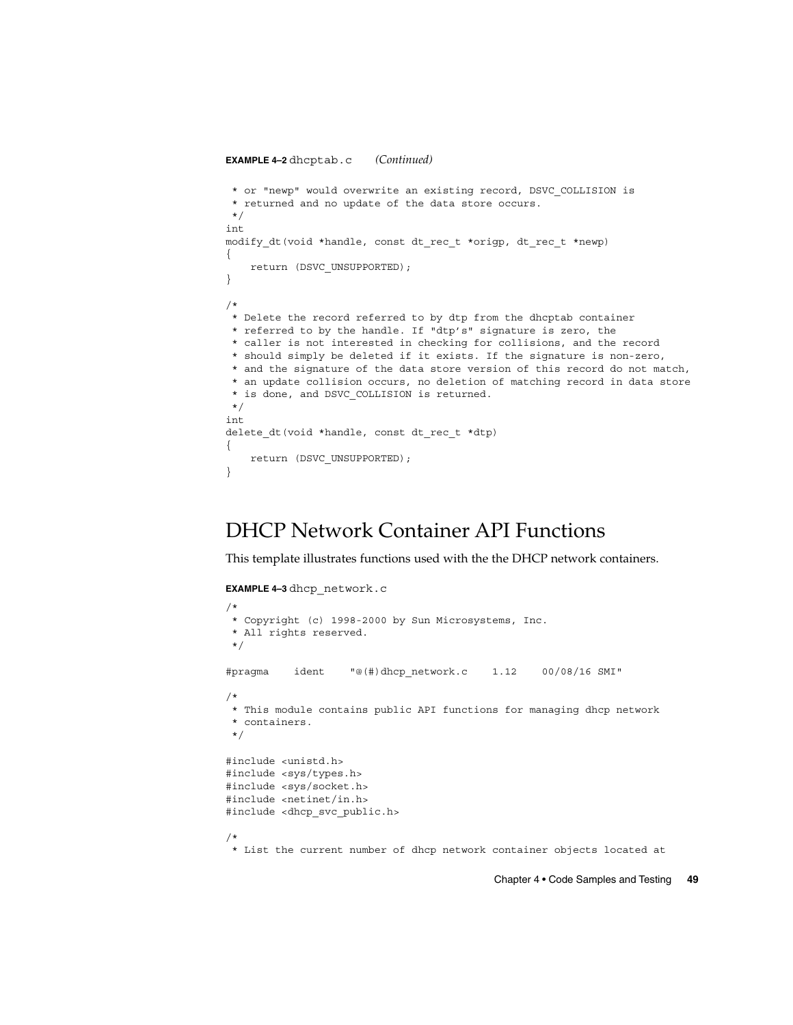```
EXAMPLE 4–2 dhcptab.c (Continued)
* or "newp" would overwrite an existing record, DSVC_COLLISION is
 * returned and no update of the data store occurs.
*/
int
modify dt(void *handle, const dt rec t *origp, dt rec t *newp)
{
   return (DSVC_UNSUPPORTED);
}
/*
* Delete the record referred to by dtp from the dhcptab container
* referred to by the handle. If "dtp's" signature is zero, the
* caller is not interested in checking for collisions, and the record
* should simply be deleted if it exists. If the signature is non-zero,
* and the signature of the data store version of this record do not match,
* an update collision occurs, no deletion of matching record in data store
 * is done, and DSVC_COLLISION is returned.
*/
int
delete dt(void *handle, const dt rec t *dtp)
{
   return (DSVC_UNSUPPORTED);
}
```
## DHCP Network Container API Functions

This template illustrates functions used with the the DHCP network containers.

```
EXAMPLE 4–3 dhcp_network.c
/*
* Copyright (c) 1998-2000 by Sun Microsystems, Inc.
* All rights reserved.
*/
#pragma ident "@(#)dhcp_network.c 1.12 00/08/16 SMI"
/*
* This module contains public API functions for managing dhcp network
* containers.
*/
#include <unistd.h>
#include <sys/types.h>
#include <sys/socket.h>
#include <netinet/in.h>
#include <dhcp_svc_public.h>
/*
* List the current number of dhcp network container objects located at
```
Chapter 4 • Code Samples and Testing **49**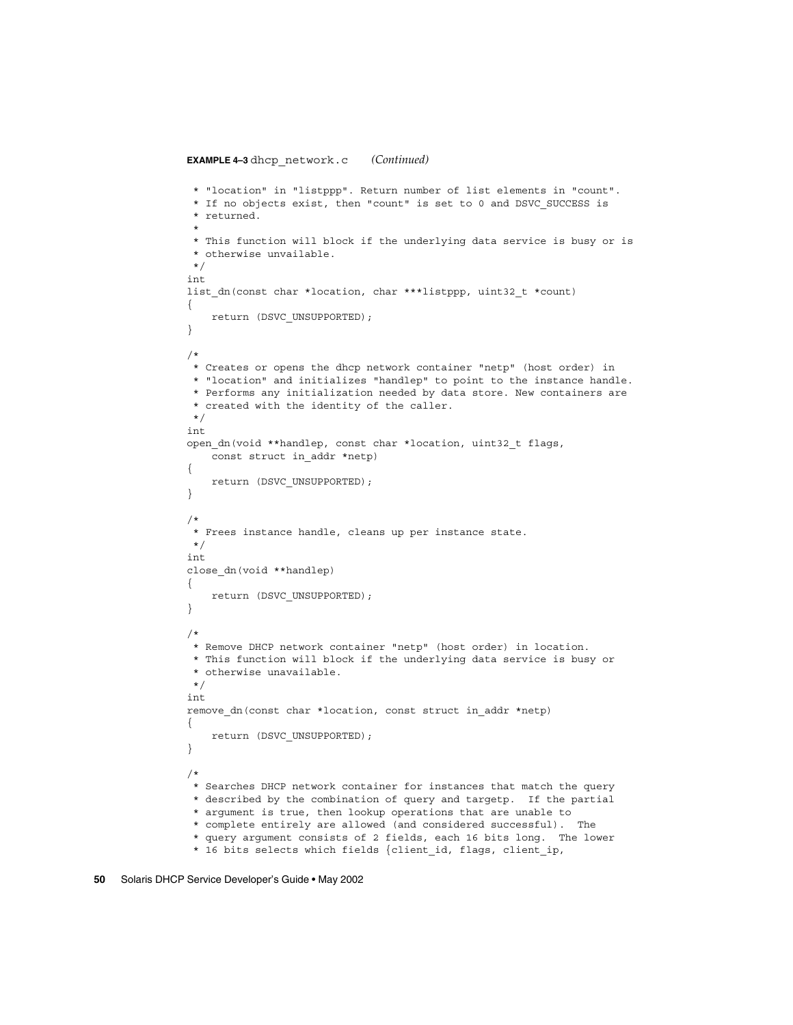```
EXAMPLE 4–3 dhcp_network.c (Continued)
 * "location" in "listppp". Return number of list elements in "count".
 * If no objects exist, then "count" is set to 0 and DSVC_SUCCESS is
 * returned.
 *
 * This function will block if the underlying data service is busy or is
 * otherwise unvailable.
 */
int
list_dn(const char *location, char ***listppp, uint32_t *count)
{
   return (DSVC_UNSUPPORTED);
}
/*
* Creates or opens the dhcp network container "netp" (host order) in
 * "location" and initializes "handlep" to point to the instance handle.
 * Performs any initialization needed by data store. New containers are
 * created with the identity of the caller.
*/
int
open dn(void **handlep, const char *location, uint32 t flags,
    const struct in_addr *netp)
{
   return (DSVC_UNSUPPORTED);
}
/*
* Frees instance handle, cleans up per instance state.
*/
int
close dn(void **handlep)
{
   return (DSVC_UNSUPPORTED);
}
/*
* Remove DHCP network container "netp" (host order) in location.
 * This function will block if the underlying data service is busy or
 * otherwise unavailable.
*/
int
remove dn(const char *location, const struct in addr *netp)
{
   return (DSVC_UNSUPPORTED);
}
/*
* Searches DHCP network container for instances that match the query
 * described by the combination of query and targetp. If the partial
 * argument is true, then lookup operations that are unable to
 * complete entirely are allowed (and considered successful). The
 * query argument consists of 2 fields, each 16 bits long. The lower
 * 16 bits selects which fields {client_id, flags, client_ip,
```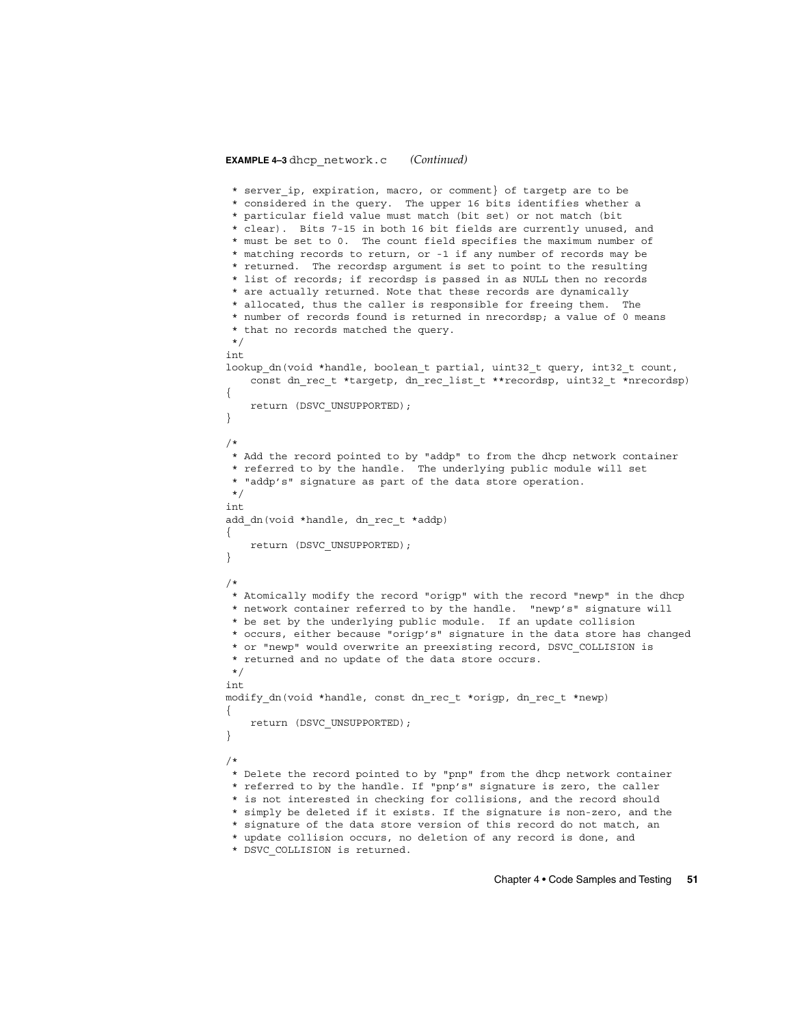#### **EXAMPLE 4–3** dhcp\_network.c *(Continued)*

```
* server_ip, expiration, macro, or comment} of targetp are to be
 * considered in the query. The upper 16 bits identifies whether a
 * particular field value must match (bit set) or not match (bit
 * clear). Bits 7-15 in both 16 bit fields are currently unused, and
 * must be set to 0. The count field specifies the maximum number of
 * matching records to return, or -1 if any number of records may be
 * returned. The recordsp argument is set to point to the resulting
 * list of records; if recordsp is passed in as NULL then no records
 * are actually returned. Note that these records are dynamically
 * allocated, thus the caller is responsible for freeing them. The
 * number of records found is returned in nrecordsp; a value of 0 means
 * that no records matched the query.
*/
int
lookup dn(void *handle, boolean t partial, uint32 t query, int32 t count,
   const dn_rec_t *targetp, dn_rec_list_t **recordsp, uint32_t *nrecordsp)
{
   return (DSVC_UNSUPPORTED);
}
/*
* Add the record pointed to by "addp" to from the dhcp network container
 * referred to by the handle. The underlying public module will set
* "addp's" signature as part of the data store operation.
*/
int
add_dn(void *handle, dn_rec_t *addp)
{
   return (DSVC_UNSUPPORTED);
}
/*
* Atomically modify the record "origp" with the record "newp" in the dhcp
* network container referred to by the handle. "newp's" signature will
* be set by the underlying public module. If an update collision
 * occurs, either because "origp's" signature in the data store has changed
 * or "newp" would overwrite an preexisting record, DSVC_COLLISION is
 * returned and no update of the data store occurs.
*/
int
modify dn(void *handle, const dn rec t *origp, dn rec t *newp)
{
   return (DSVC_UNSUPPORTED);
}
/*
* Delete the record pointed to by "pnp" from the dhcp network container
* referred to by the handle. If "pnp's" signature is zero, the caller
 * is not interested in checking for collisions, and the record should
 * simply be deleted if it exists. If the signature is non-zero, and the
 * signature of the data store version of this record do not match, an
 * update collision occurs, no deletion of any record is done, and
 * DSVC_COLLISION is returned.
```
Chapter 4 • Code Samples and Testing **51**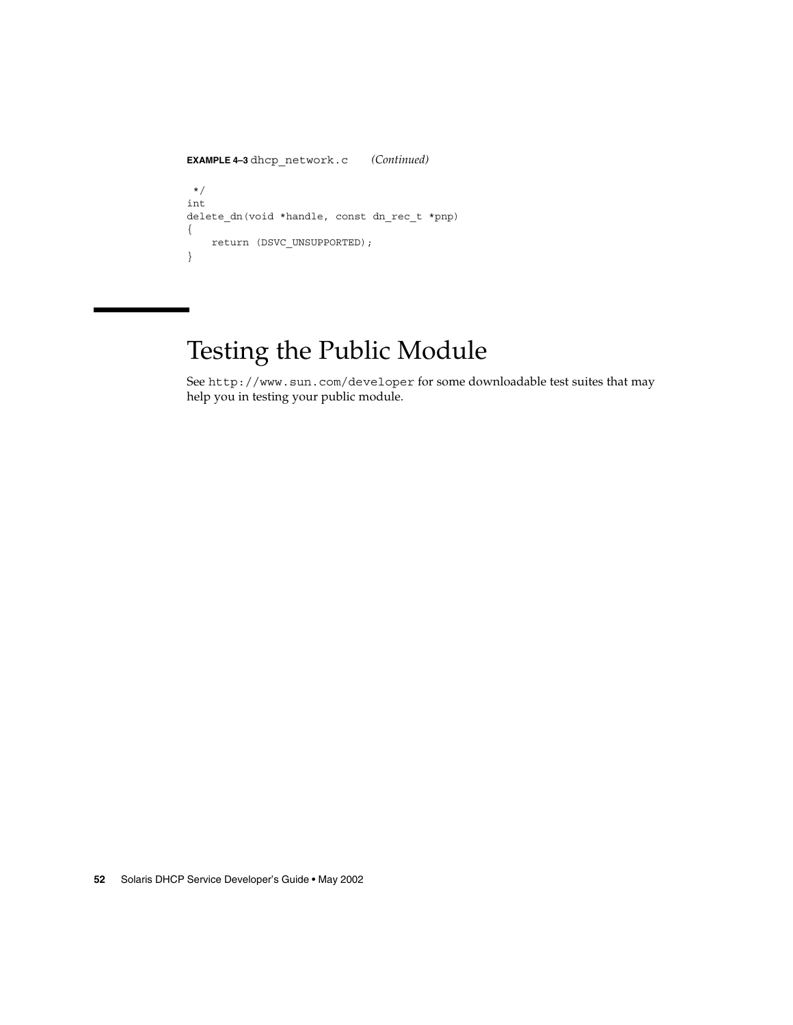```
EXAMPLE 4–3 dhcp_network.c (Continued)
*/
int
delete_dn(void *handle, const dn_rec_t *pnp)
{
   return (DSVC_UNSUPPORTED);
}
```
# Testing the Public Module

See http://www.sun.com/developer for some downloadable test suites that may help you in testing your public module.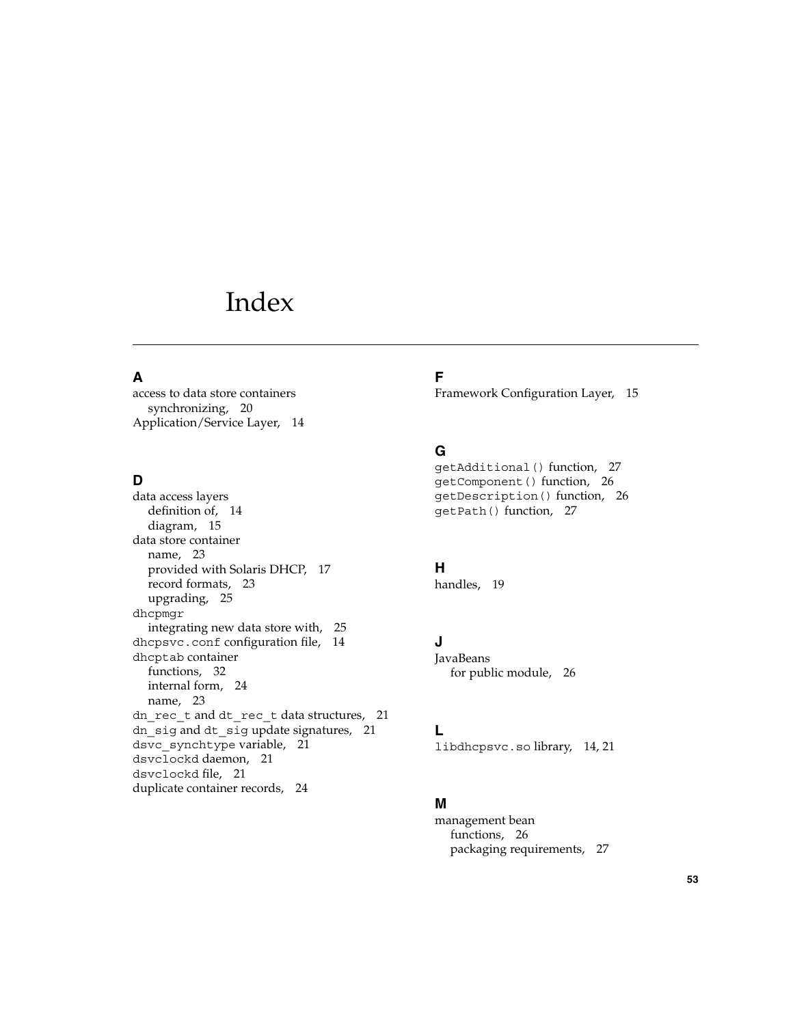# Index

#### **A**

access to data store containers synchronizing, 20 Application/Service Layer, 14

#### **D**

data access layers definition of, 14 diagram, 15 data store container name, 23 provided with Solaris DHCP, 17 record formats, 23 upgrading, 25 dhcpmgr integrating new data store with, 25 dhcpsvc.conf configuration file, 14 dhcptab container functions, 32 internal form, 24 name, 23 dn\_rec\_t and dt\_rec\_t data structures, 21 dn sig and dt sig update signatures, 21 dsvc\_synchtype variable, 21 dsvclockd daemon, 21 dsvclockd file, 21 duplicate container records, 24

## **F**

Framework Configuration Layer, 15

#### **G**

getAdditional() function, 27 getComponent() function, 26 getDescription() function, 26 getPath() function, 27

#### **H**

handles, 19

## **J**

**JavaBeans** for public module, 26

#### **L**

libdhcpsvc.so library, 14, 21

#### **M**

management bean functions, 26 packaging requirements, 27